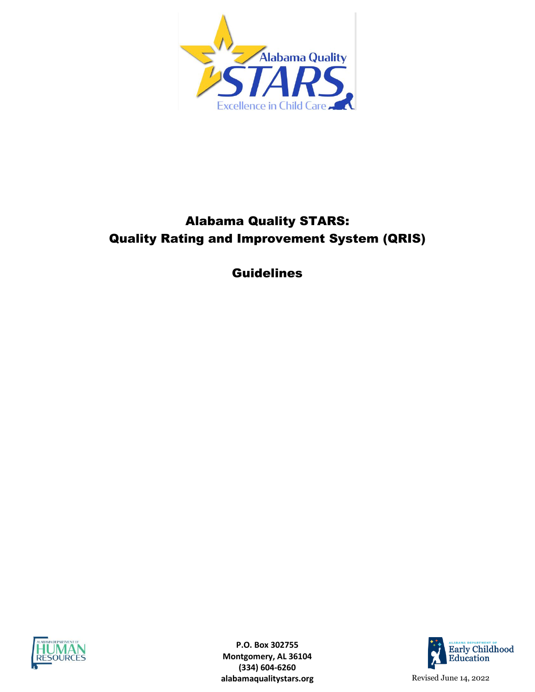

# Alabama Quality STARS: Quality Rating and Improvement System (QRIS)

Guidelines



**P.O. Box 302755 Montgomery, AL 36104 (334) 604-6260 alabamaqualitystars.org** Revised June 14, 2022

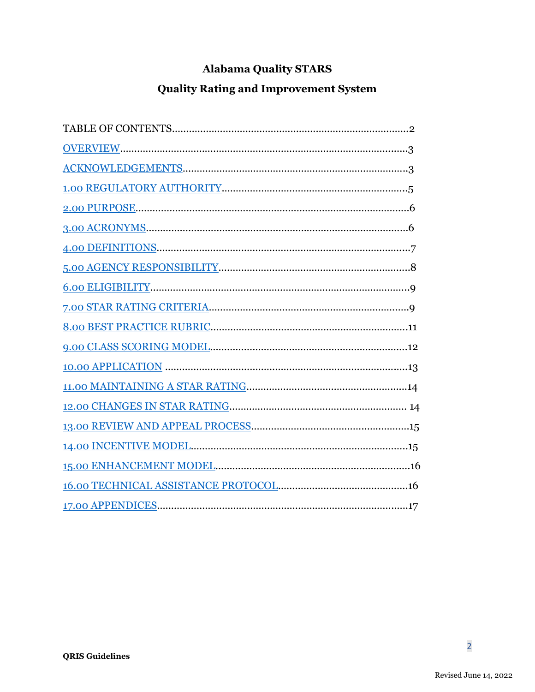# **Alabama Quality STARS**

# **Quality Rating and Improvement System**

<span id="page-1-1"></span><span id="page-1-0"></span>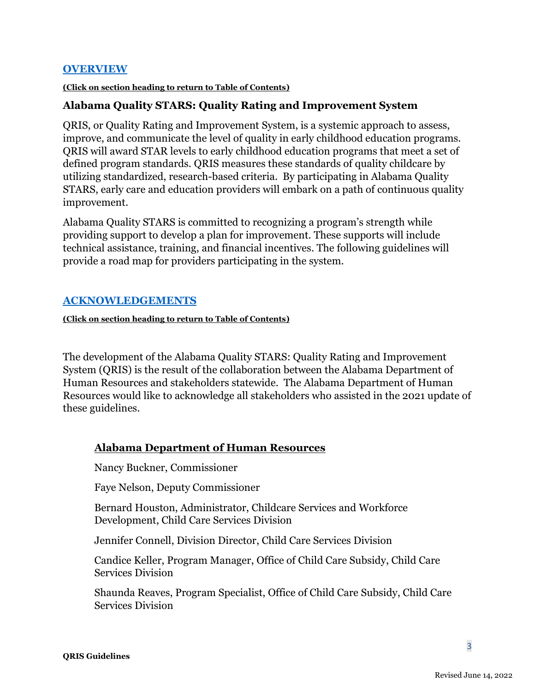### **[OVERVIEW](#page-1-1)**

#### **(Click on section heading to return to Table of Contents)**

### **Alabama Quality STARS: Quality Rating and Improvement System**

QRIS, or Quality Rating and Improvement System, is a systemic approach to assess, improve, and communicate the level of quality in early childhood education programs. QRIS will award STAR levels to early childhood education programs that meet a set of defined program standards. QRIS measures these standards of quality childcare by utilizing standardized, research-based criteria. By participating in Alabama Quality STARS, early care and education providers will embark on a path of continuous quality improvement.

Alabama Quality STARS is committed to recognizing a program's strength while providing support to develop a plan for improvement. These supports will include technical assistance, training, and financial incentives. The following guidelines will provide a road map for providers participating in the system.

### <span id="page-2-0"></span>**[ACKNOWLEDGEMENTS](#page-1-1)**

**(Click on section heading to return to Table of Contents)**

The development of the Alabama Quality STARS: Quality Rating and Improvement System (QRIS) is the result of the collaboration between the Alabama Department of Human Resources and stakeholders statewide. The Alabama Department of Human Resources would like to acknowledge all stakeholders who assisted in the 2021 update of these guidelines.

### **Alabama Department of Human Resources**

Nancy Buckner, Commissioner

Faye Nelson, Deputy Commissioner

Bernard Houston, Administrator, Childcare Services and Workforce Development, Child Care Services Division

Jennifer Connell, Division Director, Child Care Services Division

Candice Keller, Program Manager, Office of Child Care Subsidy, Child Care Services Division

Shaunda Reaves, Program Specialist, Office of Child Care Subsidy, Child Care Services Division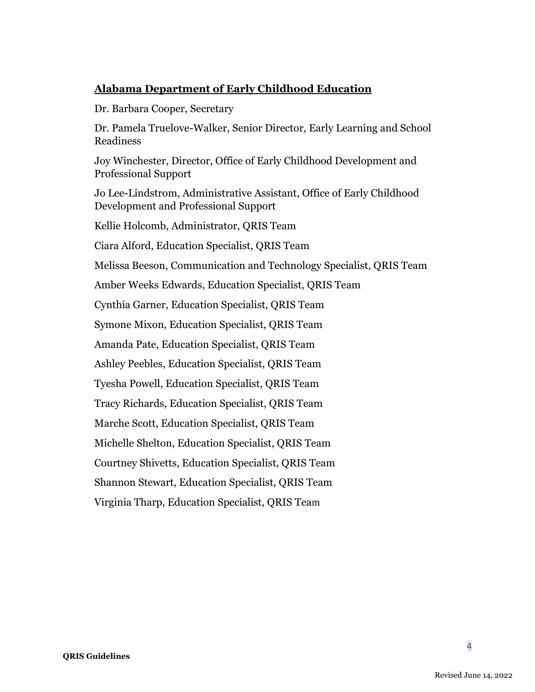### **Alabama Department of Early Childhood Education**

Dr. Barbara Cooper, Secretary

Dr. Pamela Truelove-Walker, Senior Director, Early Learning and School Readiness

Joy Winchester, Director, Office of Early Childhood Development and Professional Support

Jo Lee-Lindstrom, Administrative Assistant, Office of Early Childhood Development and Professional Support

Kellie Holcomb, Administrator, QRIS Team

Ciara Alford, Education Specialist, QRIS Team

Melissa Beeson, Communication and Technology Specialist, QRIS Team

Amber Weeks Edwards, Education Specialist, QRIS Team

Cynthia Garner, Education Specialist, QRIS Team

Symone Mixon, Education Specialist, QRIS Team

Amanda Pate, Education Specialist, QRIS Team

Ashley Peebles, Education Specialist, QRIS Team

Tyesha Powell, Education Specialist, QRIS Team

Tracy Richards, Education Specialist, QRIS Team

Marche Scott, Education Specialist, QRIS Team

Michelle Shelton, Education Specialist, QRIS Team

Courtney Shivetts, Education Specialist, QRIS Team

Shannon Stewart, Education Specialist, QRIS Team

Virginia Tharp, Education Specialist, QRIS Team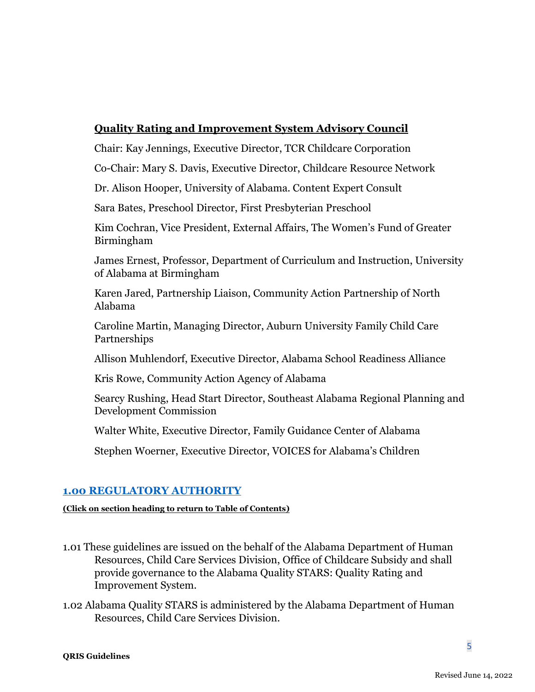### **Quality Rating and Improvement System Advisory Council**

Chair: Kay Jennings, Executive Director, TCR Childcare Corporation

Co-Chair: Mary S. Davis, Executive Director, Childcare Resource Network

Dr. Alison Hooper, University of Alabama. Content Expert Consult

Sara Bates, Preschool Director, First Presbyterian Preschool

Kim Cochran, Vice President, External Affairs, The Women's Fund of Greater Birmingham

James Ernest, Professor, Department of Curriculum and Instruction, University of Alabama at Birmingham

Karen Jared, Partnership Liaison, Community Action Partnership of North Alabama

Caroline Martin, Managing Director, Auburn University Family Child Care Partnerships

Allison Muhlendorf, Executive Director, Alabama School Readiness Alliance

Kris Rowe, Community Action Agency of Alabama

Searcy Rushing, Head Start Director, Southeast Alabama Regional Planning and Development Commission

Walter White, Executive Director, Family Guidance Center of Alabama

Stephen Woerner, Executive Director, VOICES for Alabama's Children

### <span id="page-4-0"></span>**[1.00 REGULATORY AUTHORITY](#page-1-1)**

- 1.01 These guidelines are issued on the behalf of the Alabama Department of Human Resources, Child Care Services Division, Office of Childcare Subsidy and shall provide governance to the Alabama Quality STARS: Quality Rating and Improvement System.
- <span id="page-4-1"></span>1.02 Alabama Quality STARS is administered by the Alabama Department of Human Resources, Child Care Services Division.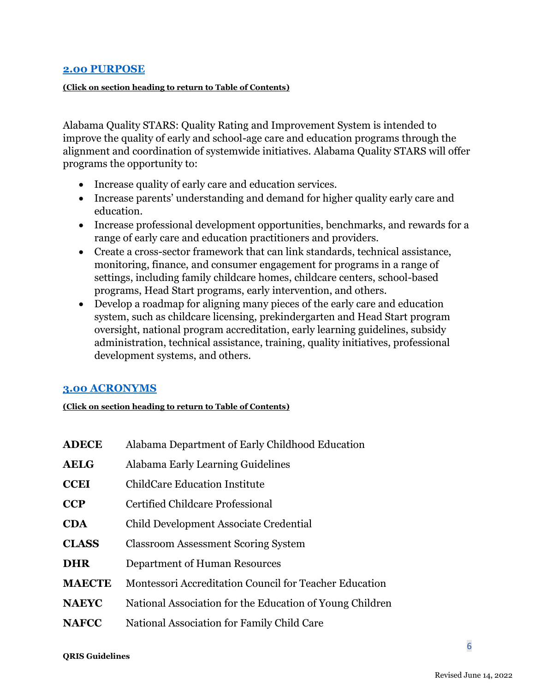#### **[2.00 PURPOSE](#page-1-1)**

#### **(Click on section heading to return to Table of Contents)**

Alabama Quality STARS: Quality Rating and Improvement System is intended to improve the quality of early and school-age care and education programs through the alignment and coordination of systemwide initiatives. Alabama Quality STARS will offer programs the opportunity to:

- Increase quality of early care and education services.
- Increase parents' understanding and demand for higher quality early care and education.
- Increase professional development opportunities, benchmarks, and rewards for a range of early care and education practitioners and providers.
- Create a cross-sector framework that can link standards, technical assistance, monitoring, finance, and consumer engagement for programs in a range of settings, including family childcare homes, childcare centers, school-based programs, Head Start programs, early intervention, and others.
- Develop a roadmap for aligning many pieces of the early care and education system, such as childcare licensing, prekindergarten and Head Start program oversight, national program accreditation, early learning guidelines, subsidy administration, technical assistance, training, quality initiatives, professional development systems, and others.

#### <span id="page-5-0"></span>**[3.00 ACRONYMS](#page-1-1)**

| <b>ADECE</b>  | Alabama Department of Early Childhood Education          |
|---------------|----------------------------------------------------------|
| <b>AELG</b>   | Alabama Early Learning Guidelines                        |
| <b>CCEI</b>   | <b>ChildCare Education Institute</b>                     |
| <b>CCP</b>    | <b>Certified Childcare Professional</b>                  |
| <b>CDA</b>    | Child Development Associate Credential                   |
| <b>CLASS</b>  | <b>Classroom Assessment Scoring System</b>               |
| <b>DHR</b>    | Department of Human Resources                            |
| <b>MAECTE</b> | Montessori Accreditation Council for Teacher Education   |
| <b>NAEYC</b>  | National Association for the Education of Young Children |
| <b>NAFCC</b>  | National Association for Family Child Care               |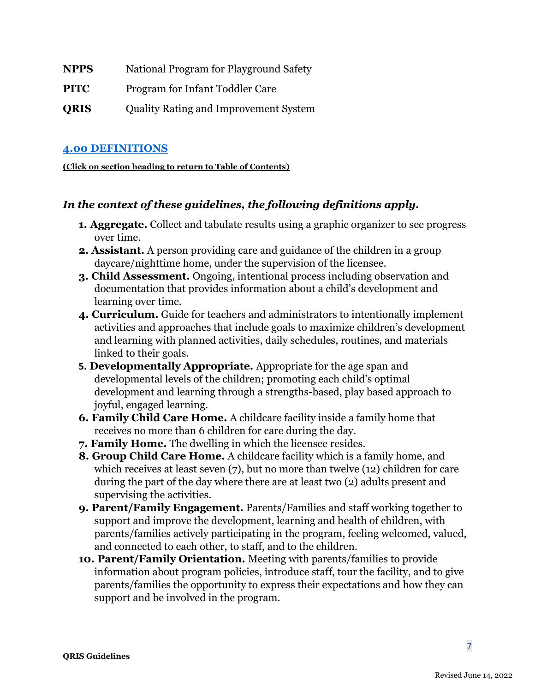| NPPS | National Program for Playground Safety |  |
|------|----------------------------------------|--|
|      |                                        |  |

**PITC** Program for Infant Toddler Care

**QRIS** Quality Rating and Improvement System

### <span id="page-6-0"></span>**[4.00 DEFINITIONS](#page-1-1)**

**(Click on section heading to return to Table of Contents)**

### *In the context of these guidelines, the following definitions apply.*

- **1. Aggregate.** Collect and tabulate results using a graphic organizer to see progress over time.
- **2. Assistant.** A person providing care and guidance of the children in a group daycare/nighttime home, under the supervision of the licensee.
- **3. Child Assessment.** Ongoing, intentional process including observation and documentation that provides information about a child's development and learning over time.
- **4. Curriculum.** Guide for teachers and administrators to intentionally implement activities and approaches that include goals to maximize children's development and learning with planned activities, daily schedules, routines, and materials linked to their goals.
- **5. Developmentally Appropriate.** Appropriate for the age span and developmental levels of the children; promoting each child's optimal development and learning through a strengths-based, play based approach to joyful, engaged learning.
- **6. Family Child Care Home.** A childcare facility inside a family home that receives no more than 6 children for care during the day.
- **7. Family Home.** The dwelling in which the licensee resides.
- **8. Group Child Care Home.** A childcare facility which is a family home, and which receives at least seven (7), but no more than twelve (12) children for care during the part of the day where there are at least two (2) adults present and supervising the activities.
- **9. Parent/Family Engagement.** Parents/Families and staff working together to support and improve the development, learning and health of children, with parents/families actively participating in the program, feeling welcomed, valued, and connected to each other, to staff, and to the children.
- **10. Parent/Family Orientation.** Meeting with parents/families to provide information about program policies, introduce staff, tour the facility, and to give parents/families the opportunity to express their expectations and how they can support and be involved in the program.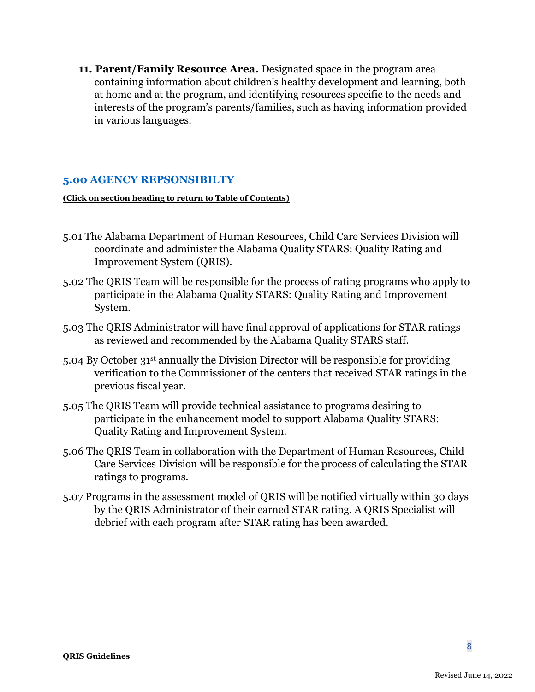**11. Parent/Family Resource Area.** Designated space in the program area containing information about children's healthy development and learning, both at home and at the program, and identifying resources specific to the needs and interests of the program's parents/families, such as having information provided in various languages.

### <span id="page-7-0"></span>**[5.00 AGENCY REPSONSIBILTY](#page-1-1)**

- 5.01 The Alabama Department of Human Resources, Child Care Services Division will coordinate and administer the Alabama Quality STARS: Quality Rating and Improvement System (QRIS).
- 5.02 The QRIS Team will be responsible for the process of rating programs who apply to participate in the Alabama Quality STARS: Quality Rating and Improvement System.
- 5.03 The QRIS Administrator will have final approval of applications for STAR ratings as reviewed and recommended by the Alabama Quality STARS staff.
- 5.04 By October 31st annually the Division Director will be responsible for providing verification to the Commissioner of the centers that received STAR ratings in the previous fiscal year.
- 5.05 The QRIS Team will provide technical assistance to programs desiring to participate in the enhancement model to support Alabama Quality STARS: Quality Rating and Improvement System.
- 5.06 The QRIS Team in collaboration with the Department of Human Resources, Child Care Services Division will be responsible for the process of calculating the STAR ratings to programs.
- <span id="page-7-1"></span>5.07 Programs in the assessment model of QRIS will be notified virtually within 30 days by the QRIS Administrator of their earned STAR rating. A QRIS Specialist will debrief with each program after STAR rating has been awarded.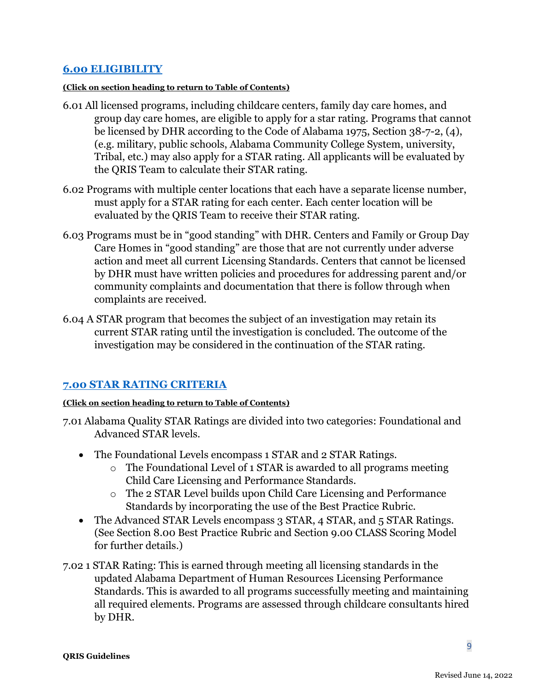### **[6.00 ELIGIBILITY](#page-1-1)**

#### **(Click on section heading to return to Table of Contents)**

- 6.01 All licensed programs, including childcare centers, family day care homes, and group day care homes, are eligible to apply for a star rating. Programs that cannot be licensed by DHR according to the Code of Alabama 1975, Section 38-7-2, (4), (e.g. military, public schools, Alabama Community College System, university, Tribal, etc.) may also apply for a STAR rating. All applicants will be evaluated by the QRIS Team to calculate their STAR rating.
- 6.02 Programs with multiple center locations that each have a separate license number, must apply for a STAR rating for each center. Each center location will be evaluated by the QRIS Team to receive their STAR rating.
- 6.03 Programs must be in "good standing" with DHR. Centers and Family or Group Day Care Homes in "good standing" are those that are not currently under adverse action and meet all current Licensing Standards. Centers that cannot be licensed by DHR must have written policies and procedures for addressing parent and/or community complaints and documentation that there is follow through when complaints are received.
- 6.04 A STAR program that becomes the subject of an investigation may retain its current STAR rating until the investigation is concluded. The outcome of the investigation may be considered in the continuation of the STAR rating.

### <span id="page-8-0"></span>**[7.00 STAR RATING CRITERIA](#page-1-1)**

- 7.01 Alabama Quality STAR Ratings are divided into two categories: Foundational and Advanced STAR levels.
	- The Foundational Levels encompass 1 STAR and 2 STAR Ratings.
		- o The Foundational Level of 1 STAR is awarded to all programs meeting Child Care Licensing and Performance Standards.
		- o The 2 STAR Level builds upon Child Care Licensing and Performance Standards by incorporating the use of the Best Practice Rubric.
	- The Advanced STAR Levels encompass 3 STAR, 4 STAR, and 5 STAR Ratings. (See Section 8.00 Best Practice Rubric and Section 9.00 CLASS Scoring Model for further details.)
- 7.02 1 STAR Rating: This is earned through meeting all licensing standards in the updated Alabama Department of Human Resources Licensing Performance Standards. This is awarded to all programs successfully meeting and maintaining all required elements. Programs are assessed through childcare consultants hired by DHR.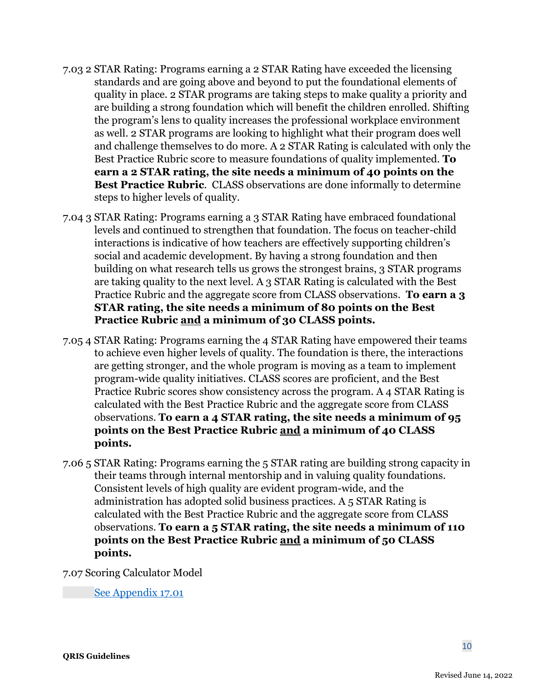- 7.03 2 STAR Rating: Programs earning a 2 STAR Rating have exceeded the licensing standards and are going above and beyond to put the foundational elements of quality in place. 2 STAR programs are taking steps to make quality a priority and are building a strong foundation which will benefit the children enrolled. Shifting the program's lens to quality increases the professional workplace environment as well. 2 STAR programs are looking to highlight what their program does well and challenge themselves to do more. A 2 STAR Rating is calculated with only the Best Practice Rubric score to measure foundations of quality implemented. **To earn a 2 STAR rating, the site needs a minimum of 40 points on the Best Practice Rubric**. CLASS observations are done informally to determine steps to higher levels of quality.
- 7.04 3 STAR Rating: Programs earning a 3 STAR Rating have embraced foundational levels and continued to strengthen that foundation. The focus on teacher-child interactions is indicative of how teachers are effectively supporting children's social and academic development. By having a strong foundation and then building on what research tells us grows the strongest brains, 3 STAR programs are taking quality to the next level. A 3 STAR Rating is calculated with the Best Practice Rubric and the aggregate score from CLASS observations. **To earn a 3 STAR rating, the site needs a minimum of 80 points on the Best Practice Rubric and a minimum of 30 CLASS points.**
- 7.05 4 STAR Rating: Programs earning the 4 STAR Rating have empowered their teams to achieve even higher levels of quality. The foundation is there, the interactions are getting stronger, and the whole program is moving as a team to implement program-wide quality initiatives. CLASS scores are proficient, and the Best Practice Rubric scores show consistency across the program. A 4 STAR Rating is calculated with the Best Practice Rubric and the aggregate score from CLASS observations. **To earn a 4 STAR rating, the site needs a minimum of 95 points on the Best Practice Rubric and a minimum of 40 CLASS points.**
- 7.06 5 STAR Rating: Programs earning the 5 STAR rating are building strong capacity in their teams through internal mentorship and in valuing quality foundations. Consistent levels of high quality are evident program-wide, and the administration has adopted solid business practices. A 5 STAR Rating is calculated with the Best Practice Rubric and the aggregate score from CLASS observations. **To earn a 5 STAR rating, the site needs a minimum of 110 points on the Best Practice Rubric and a minimum of 50 CLASS points.**

<span id="page-9-0"></span>7.07 Scoring Calculator Model

[See Appendix 17.01](#page-17-1)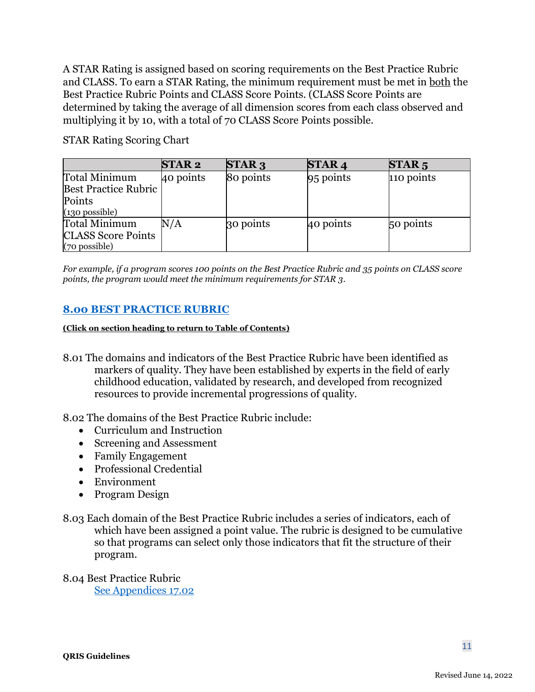A STAR Rating is assigned based on scoring requirements on the Best Practice Rubric and CLASS. To earn a STAR Rating, the minimum requirement must be met in both the Best Practice Rubric Points and CLASS Score Points. (CLASS Score Points are determined by taking the average of all dimension scores from each class observed and multiplying it by 10, with a total of 70 CLASS Score Points possible.

STAR Rating Scoring Chart

|                             | <b>STAR2</b> | <b>STAR3</b> | <b>STAR4</b> | STAR <sub>5</sub> |
|-----------------------------|--------------|--------------|--------------|-------------------|
| Total Minimum               | 40 points    | 80 points    | 95 points    | 110 points        |
| <b>Best Practice Rubric</b> |              |              |              |                   |
| Points                      |              |              |              |                   |
| $(130)$ possible)           |              |              |              |                   |
| Total Minimum               | $\rm N/A$    | 30 points    | 40 points    | 50 points         |
| <b>CLASS Score Points</b>   |              |              |              |                   |
| (70 possible)               |              |              |              |                   |

*For example, if a program scores 100 points on the Best Practice Rubric and 35 points on CLASS score points, the program would meet the minimum requirements for STAR 3*.

### <span id="page-10-0"></span>**[8.00 BEST PRACTICE RUBRIC](#page-1-1)**

**(Click on section heading to return to Table of Contents)**

8.01 The domains and indicators of the Best Practice Rubric have been identified as markers of quality. They have been established by experts in the field of early childhood education, validated by research, and developed from recognized resources to provide incremental progressions of quality.

8.02 The domains of the Best Practice Rubric include:

- Curriculum and Instruction
- Screening and Assessment
- Family Engagement
- Professional Credential
- Environment
- Program Design
- 8.03 Each domain of the Best Practice Rubric includes a series of indicators, each of which have been assigned a point value. The rubric is designed to be cumulative so that programs can select only those indicators that fit the structure of their program.

<span id="page-10-2"></span><span id="page-10-1"></span>8.04 Best Practice Rubric [See Appendices 17.02](#page-17-2)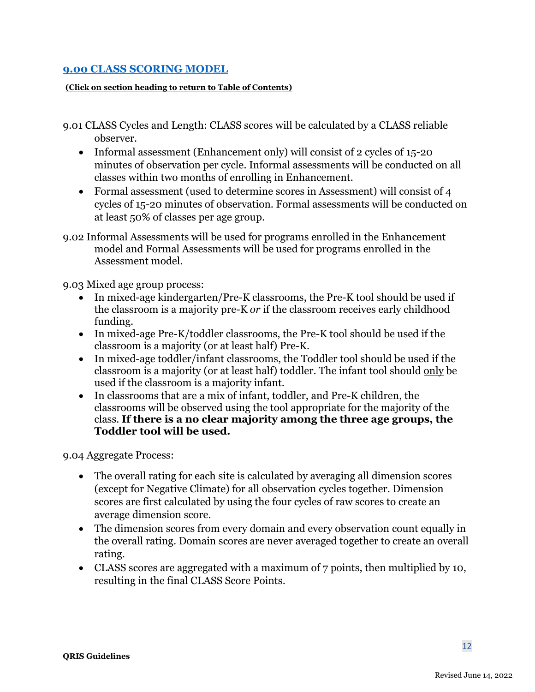### **[9.00 CLASS SCORING MODEL](#page-1-1)**

#### **(Click on section heading to return to Table of Contents)**

- 9.01 CLASS Cycles and Length: CLASS scores will be calculated by a CLASS reliable observer.
	- Informal assessment (Enhancement only) will consist of 2 cycles of 15-20 minutes of observation per cycle. Informal assessments will be conducted on all classes within two months of enrolling in Enhancement.
	- Formal assessment (used to determine scores in Assessment) will consist of 4 cycles of 15-20 minutes of observation. Formal assessments will be conducted on at least 50% of classes per age group.
- 9.02 Informal Assessments will be used for programs enrolled in the Enhancement model and Formal Assessments will be used for programs enrolled in the Assessment model.

9.03 Mixed age group process:

- In mixed-age kindergarten/Pre-K classrooms, the Pre-K tool should be used if the classroom is a majority pre-K *or* if the classroom receives early childhood funding.
- In mixed-age Pre-K/toddler classrooms, the Pre-K tool should be used if the classroom is a majority (or at least half) Pre-K.
- In mixed-age toddler/infant classrooms, the Toddler tool should be used if the classroom is a majority (or at least half) toddler. The infant tool should only be used if the classroom is a majority infant.
- In classrooms that are a mix of infant, toddler, and Pre-K children, the classrooms will be observed using the tool appropriate for the majority of the class. **If there is a no clear majority among the three age groups, the Toddler tool will be used.**

9.04 Aggregate Process:

- The overall rating for each site is calculated by averaging all dimension scores (except for Negative Climate) for all observation cycles together. Dimension scores are first calculated by using the four cycles of raw scores to create an average dimension score.
- The dimension scores from every domain and every observation count equally in the overall rating. Domain scores are never averaged together to create an overall rating.
- CLASS scores are aggregated with a maximum of 7 points, then multiplied by 10, resulting in the final CLASS Score Points.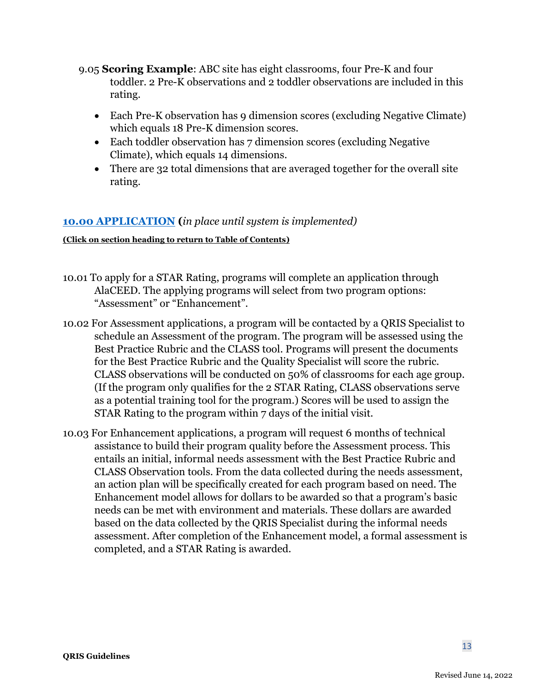- 9.05 **Scoring Example**: ABC site has eight classrooms, four Pre-K and four toddler. 2 Pre-K observations and 2 toddler observations are included in this rating.
	- Each Pre-K observation has 9 dimension scores (excluding Negative Climate) which equals 18 Pre-K dimension scores.
	- Each toddler observation has 7 dimension scores (excluding Negative Climate), which equals 14 dimensions.
	- There are 32 total dimensions that are averaged together for the overall site rating.

### <span id="page-12-0"></span>**[10.00 APPLICATION](#page-1-1) (***in place until system is implemented)*

- 10.01 To apply for a STAR Rating, programs will complete an application through AlaCEED. The applying programs will select from two program options: "Assessment" or "Enhancement".
- 10.02 For Assessment applications, a program will be contacted by a QRIS Specialist to schedule an Assessment of the program. The program will be assessed using the Best Practice Rubric and the CLASS tool. Programs will present the documents for the Best Practice Rubric and the Quality Specialist will score the rubric. CLASS observations will be conducted on 50% of classrooms for each age group. (If the program only qualifies for the 2 STAR Rating, CLASS observations serve as a potential training tool for the program.) Scores will be used to assign the STAR Rating to the program within 7 days of the initial visit.
- <span id="page-12-1"></span>10.03 For Enhancement applications, a program will request 6 months of technical assistance to build their program quality before the Assessment process. This entails an initial, informal needs assessment with the Best Practice Rubric and CLASS Observation tools. From the data collected during the needs assessment, an action plan will be specifically created for each program based on need. The Enhancement model allows for dollars to be awarded so that a program's basic needs can be met with environment and materials. These dollars are awarded based on the data collected by the QRIS Specialist during the informal needs assessment. After completion of the Enhancement model, a formal assessment is completed, and a STAR Rating is awarded.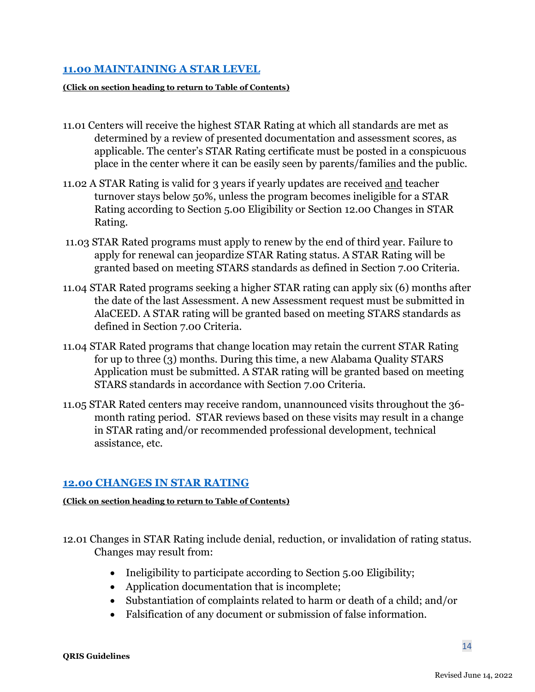### **[11.00 MAINTAINING A STAR LEVEL](#page-1-1)**

#### **(Click on section heading to return to Table of Contents)**

- 11.01 Centers will receive the highest STAR Rating at which all standards are met as determined by a review of presented documentation and assessment scores, as applicable. The center's STAR Rating certificate must be posted in a conspicuous place in the center where it can be easily seen by parents/families and the public.
- 11.02 A STAR Rating is valid for 3 years if yearly updates are received and teacher turnover stays below 50%, unless the program becomes ineligible for a STAR Rating according to Section 5.00 Eligibility or Section 12.00 Changes in STAR Rating.
- 11.03 STAR Rated programs must apply to renew by the end of third year. Failure to apply for renewal can jeopardize STAR Rating status. A STAR Rating will be granted based on meeting STARS standards as defined in Section 7.00 Criteria.
- 11.04 STAR Rated programs seeking a higher STAR rating can apply six (6) months after the date of the last Assessment. A new Assessment request must be submitted in AlaCEED. A STAR rating will be granted based on meeting STARS standards as defined in Section 7.00 Criteria.
- 11.04 STAR Rated programs that change location may retain the current STAR Rating for up to three (3) months. During this time, a new Alabama Quality STARS Application must be submitted. A STAR rating will be granted based on meeting STARS standards in accordance with Section 7.00 Criteria.
- 11.05 STAR Rated centers may receive random, unannounced visits throughout the 36 month rating period. STAR reviews based on these visits may result in a change in STAR rating and/or recommended professional development, technical assistance, etc.

### <span id="page-13-0"></span>**[12.00 CHANGES IN STAR RATING](#page-1-1)**

- 12.01 Changes in STAR Rating include denial, reduction, or invalidation of rating status. Changes may result from:
	- Ineligibility to participate according to Section 5.00 Eligibility;
	- Application documentation that is incomplete;
	- Substantiation of complaints related to harm or death of a child; and/or
	- Falsification of any document or submission of false information.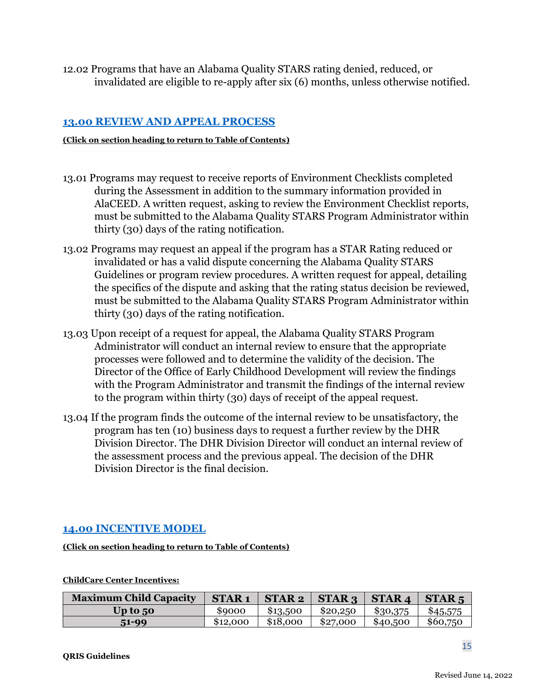<span id="page-14-0"></span>12.02 Programs that have an Alabama Quality STARS rating denied, reduced, or invalidated are eligible to re-apply after six (6) months, unless otherwise notified.

### **[13.00 REVIEW AND APPEAL PROCESS](#page-1-1)**

#### **(Click on section heading to return to Table of Contents)**

- 13.01 Programs may request to receive reports of Environment Checklists completed during the Assessment in addition to the summary information provided in AlaCEED. A written request, asking to review the Environment Checklist reports, must be submitted to the Alabama Quality STARS Program Administrator within thirty (30) days of the rating notification.
- 13.02 Programs may request an appeal if the program has a STAR Rating reduced or invalidated or has a valid dispute concerning the Alabama Quality STARS Guidelines or program review procedures. A written request for appeal, detailing the specifics of the dispute and asking that the rating status decision be reviewed, must be submitted to the Alabama Quality STARS Program Administrator within thirty (30) days of the rating notification.
- 13.03 Upon receipt of a request for appeal, the Alabama Quality STARS Program Administrator will conduct an internal review to ensure that the appropriate processes were followed and to determine the validity of the decision. The Director of the Office of Early Childhood Development will review the findings with the Program Administrator and transmit the findings of the internal review to the program within thirty (30) days of receipt of the appeal request.
- 13.04 If the program finds the outcome of the internal review to be unsatisfactory, the program has ten (10) business days to request a further review by the DHR Division Director. The DHR Division Director will conduct an internal review of the assessment process and the previous appeal. The decision of the DHR Division Director is the final decision.

### <span id="page-14-1"></span>**[14.00 INCENTIVE MODEL](#page-1-1)**

**(Click on section heading to return to Table of Contents)**

| <b>Maximum Child Capacity</b> | <b>STAR1</b> | STAR 2   | STAR <sub>3</sub> | STAR <sub>4</sub> | STAR <sub>5</sub> |
|-------------------------------|--------------|----------|-------------------|-------------------|-------------------|
| Up to $50$                    | \$9000       | \$13,500 | \$20,250          | \$30,375          | \$45,575          |
| 51-99                         | \$12,000     | \$18,000 | \$27,000          | \$40,500          | \$60,750          |

#### **ChildCare Center Incentives:**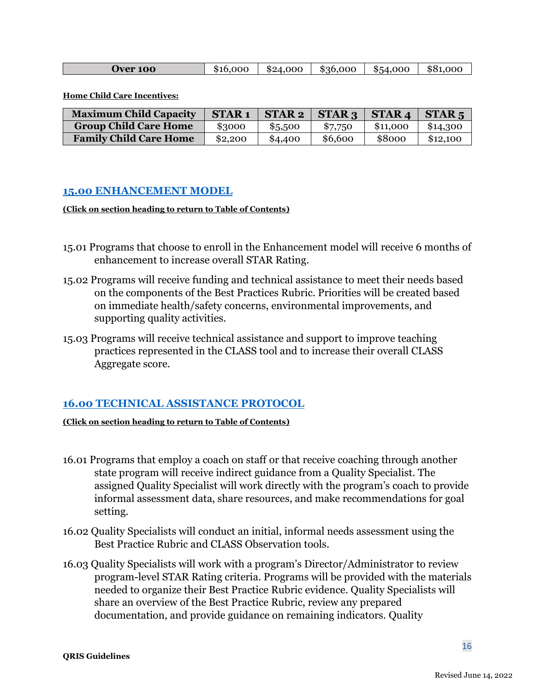| <b>Jver 100</b> | 16.000<br>\$16 | \$24,000 | \$36,000 | \$54,000 | 881<br>റററ |
|-----------------|----------------|----------|----------|----------|------------|
|-----------------|----------------|----------|----------|----------|------------|

**Home Child Care Incentives:** 

<span id="page-15-0"></span>

| <b>Maximum Child Capacity</b> | <b>STAR1</b> | <b>STAR2</b> | STAR <sub>3</sub> | <b>STAR4</b> | STAR <sub>5</sub> |
|-------------------------------|--------------|--------------|-------------------|--------------|-------------------|
| <b>Group Child Care Home</b>  | \$3000       | \$5,500      | \$7,750           | \$11,000     | \$14,300          |
| <b>Family Child Care Home</b> | \$2,200      | \$4,400      | \$6,600           | \$8000       | \$12,100          |

#### **[15.00 ENHANCEMENT MODEL](#page-1-1)**

#### **(Click on section heading to return to Table of Contents)**

- 15.01 Programs that choose to enroll in the Enhancement model will receive 6 months of enhancement to increase overall STAR Rating.
- 15.02 Programs will receive funding and technical assistance to meet their needs based on the components of the Best Practices Rubric. Priorities will be created based on immediate health/safety concerns, environmental improvements, and supporting quality activities.
- 15.03 Programs will receive technical assistance and support to improve teaching practices represented in the CLASS tool and to increase their overall CLASS Aggregate score.

### <span id="page-15-1"></span>**[16.00 TECHNICAL ASSISTANCE](#page-1-1) PROTOCOL**

- 16.01 Programs that employ a coach on staff or that receive coaching through another state program will receive indirect guidance from a Quality Specialist. The assigned Quality Specialist will work directly with the program's coach to provide informal assessment data, share resources, and make recommendations for goal setting.
- 16.02 Quality Specialists will conduct an initial, informal needs assessment using the Best Practice Rubric and CLASS Observation tools.
- 16.03 Quality Specialists will work with a program's Director/Administrator to review program-level STAR Rating criteria. Programs will be provided with the materials needed to organize their Best Practice Rubric evidence. Quality Specialists will share an overview of the Best Practice Rubric, review any prepared documentation, and provide guidance on remaining indicators. Quality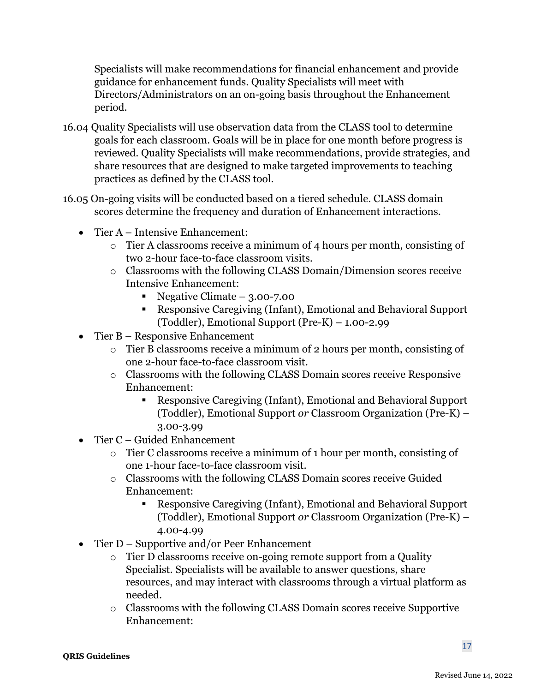Specialists will make recommendations for financial enhancement and provide guidance for enhancement funds. Quality Specialists will meet with Directors/Administrators on an on-going basis throughout the Enhancement period.

- 16.04 Quality Specialists will use observation data from the CLASS tool to determine goals for each classroom. Goals will be in place for one month before progress is reviewed. Quality Specialists will make recommendations, provide strategies, and share resources that are designed to make targeted improvements to teaching practices as defined by the CLASS tool.
- 16.05 On-going visits will be conducted based on a tiered schedule. CLASS domain scores determine the frequency and duration of Enhancement interactions.
	- Tier A Intensive Enhancement:
		- o Tier A classrooms receive a minimum of 4 hours per month, consisting of two 2-hour face-to-face classroom visits.
		- o Classrooms with the following CLASS Domain/Dimension scores receive Intensive Enhancement:
			- Negative Climate  $3.00 7.00$
			- Responsive Caregiving (Infant), Emotional and Behavioral Support (Toddler), Emotional Support (Pre-K) – 1.00-2.99
	- Tier B Responsive Enhancement
		- o Tier B classrooms receive a minimum of 2 hours per month, consisting of one 2-hour face-to-face classroom visit.
		- o Classrooms with the following CLASS Domain scores receive Responsive Enhancement:
			- Responsive Caregiving (Infant), Emotional and Behavioral Support (Toddler), Emotional Support *or* Classroom Organization (Pre-K) – 3.00-3.99
	- Tier C Guided Enhancement
		- o Tier C classrooms receive a minimum of 1 hour per month, consisting of one 1-hour face-to-face classroom visit.
		- o Classrooms with the following CLASS Domain scores receive Guided Enhancement:
			- Responsive Caregiving (Infant), Emotional and Behavioral Support (Toddler), Emotional Support *or* Classroom Organization (Pre-K) – 4.00-4.99
	- Tier D Supportive and/or Peer Enhancement
		- o Tier D classrooms receive on-going remote support from a Quality Specialist. Specialists will be available to answer questions, share resources, and may interact with classrooms through a virtual platform as needed.
		- o Classrooms with the following CLASS Domain scores receive Supportive Enhancement: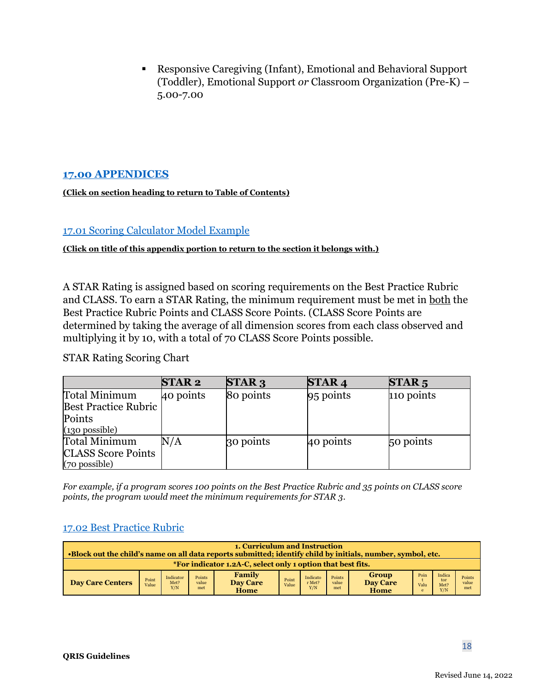Responsive Caregiving (Infant), Emotional and Behavioral Support (Toddler), Emotional Support *or* Classroom Organization (Pre-K) – 5.00-7.00

### <span id="page-17-0"></span>**[17.00 APPENDICES](#page-1-1)**

#### **(Click on section heading to return to Table of Contents)**

#### <span id="page-17-1"></span>[17.01 Scoring Calculator Model Example](#page-9-0)

#### **(Click on title of this appendix portion to return to the section it belongs with.)**

A STAR Rating is assigned based on scoring requirements on the Best Practice Rubric and CLASS. To earn a STAR Rating, the minimum requirement must be met in both the Best Practice Rubric Points and CLASS Score Points. (CLASS Score Points are determined by taking the average of all dimension scores from each class observed and multiplying it by 10, with a total of 70 CLASS Score Points possible.

### STAR Rating Scoring Chart

|                             | <b>STAR2</b> | <b>STAR3</b> | <b>STAR4</b> | STAR <sub>5</sub> |
|-----------------------------|--------------|--------------|--------------|-------------------|
| Total Minimum               | 40 points    | 80 points    | $95$ points  | 110 points        |
| <b>Best Practice Rubric</b> |              |              |              |                   |
| Points                      |              |              |              |                   |
| $(130)$ possible)           |              |              |              |                   |
| Total Minimum               | N/A          | 30 points    | 40 points    | 50 points         |
| <b>CLASS Score Points</b>   |              |              |              |                   |
| (70 possible)               |              |              |              |                   |

*For example, if a program scores 100 points on the Best Practice Rubric and 35 points on CLASS score points, the program would meet the minimum requirements for STAR 3*.

#### <span id="page-17-2"></span>[17.02 Best Practice Rubric](#page-10-2)

| 1. Curriculum and Instruction<br>•Block out the child's name on all data reports submitted; identify child by initials, number, symbol, etc. |                |                          |                        |                                   |                |                           |                        |                                  |                   |                              |                        |
|----------------------------------------------------------------------------------------------------------------------------------------------|----------------|--------------------------|------------------------|-----------------------------------|----------------|---------------------------|------------------------|----------------------------------|-------------------|------------------------------|------------------------|
| *For indicator 1.2A-C, select only 1 option that best fits.                                                                                  |                |                          |                        |                                   |                |                           |                        |                                  |                   |                              |                        |
| <b>Day Care Centers</b>                                                                                                                      | Point<br>Value | Indicator<br>Met?<br>Y/N | Points<br>value<br>met | Family<br><b>Day Care</b><br>Home | Point<br>Value | Indicato<br>r Met?<br>Y/N | Points<br>value<br>met | Group<br><b>Day Care</b><br>Home | Poin<br>Valu<br>e | Indica<br>tor<br>Met?<br>Y/N | Points<br>value<br>met |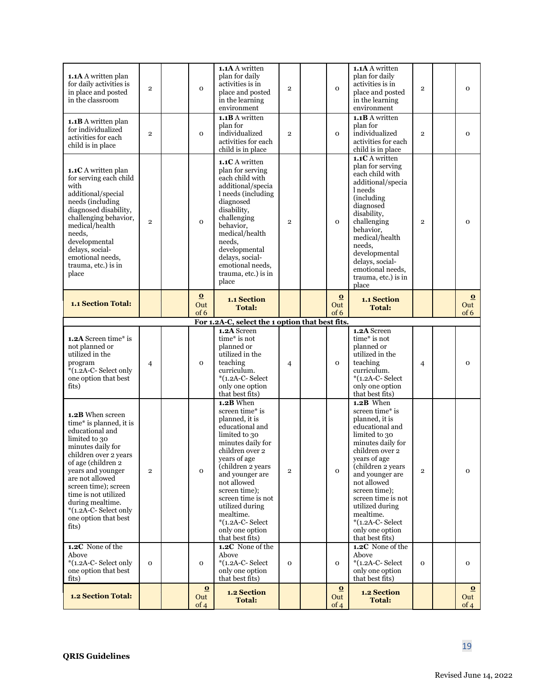| <b>1.1A</b> A written plan<br>for daily activities is<br>in place and posted<br>in the classroom                                                                                                                                                                                                                                             | $\overline{2}$ | $\mathbf{O}$             | 1.1A A written<br>plan for daily<br>activities is in<br>place and posted<br>in the learning<br>environment                                                                                                                                                                                                                                               | $\overline{2}$ | $\mathbf{O}$                 | 1.1A A written<br>plan for daily<br>activities is in<br>place and posted<br>in the learning<br>environment                                                                                                                                                                                                                                               | $\overline{2}$ | $\mathbf{O}$            |
|----------------------------------------------------------------------------------------------------------------------------------------------------------------------------------------------------------------------------------------------------------------------------------------------------------------------------------------------|----------------|--------------------------|----------------------------------------------------------------------------------------------------------------------------------------------------------------------------------------------------------------------------------------------------------------------------------------------------------------------------------------------------------|----------------|------------------------------|----------------------------------------------------------------------------------------------------------------------------------------------------------------------------------------------------------------------------------------------------------------------------------------------------------------------------------------------------------|----------------|-------------------------|
| 1.1B A written plan<br>for individualized<br>activities for each<br>child is in place                                                                                                                                                                                                                                                        | $\overline{2}$ | $\mathbf{O}$             | $1.1B$ A written<br>plan for<br>individualized<br>activities for each<br>child is in place                                                                                                                                                                                                                                                               | $\overline{2}$ | $\mathbf{O}$                 | 1.1B A written<br>plan for<br>individualized<br>activities for each<br>child is in place                                                                                                                                                                                                                                                                 | $\overline{2}$ | $\mathbf{o}$            |
| 1.1C A written plan<br>for serving each child<br>with<br>additional/special<br>needs (including<br>diagnosed disability,<br>challenging behavior,<br>medical/health<br>needs,<br>developmental<br>delays, social-<br>emotional needs,<br>trauma, etc.) is in<br>place                                                                        | $\overline{2}$ | $\mathbf 0$              | 1.1C A written<br>plan for serving<br>each child with<br>additional/specia<br>l needs (including<br>diagnosed<br>disability,<br>challenging<br>behavior,<br>medical/health<br>needs,<br>developmental<br>delays, social-<br>emotional needs,<br>trauma, etc.) is in<br>place                                                                             | $\overline{2}$ | $\mathbf 0$                  | <b>1.1C</b> A written<br>plan for serving<br>each child with<br>additional/specia<br>l needs<br>(including<br>diagnosed<br>disability,<br>challenging<br>behavior.<br>medical/health<br>needs.<br>developmental<br>delays, social-<br>emotional needs,<br>trauma, etc.) is in<br>place                                                                   | $\overline{2}$ | $\mathbf{o}$            |
| <b>1.1 Section Total:</b>                                                                                                                                                                                                                                                                                                                    |                | $\bf{O}$<br>Out<br>of 6  | 1.1 Section<br><b>Total:</b>                                                                                                                                                                                                                                                                                                                             |                | $\bf{O}$<br>Out<br>of 6      | 1.1 Section<br><b>Total:</b>                                                                                                                                                                                                                                                                                                                             |                | $\bf{0}$<br>Out<br>of 6 |
|                                                                                                                                                                                                                                                                                                                                              |                |                          | For 1.2A-C, select the 1 option that best fits.                                                                                                                                                                                                                                                                                                          |                |                              |                                                                                                                                                                                                                                                                                                                                                          |                |                         |
| 1.2A Screen time* is<br>not planned or<br>utilized in the<br>program<br>$*(1.2A-C-Select)$<br>one option that best<br>fits)                                                                                                                                                                                                                  | $\overline{4}$ | $\mathbf{O}$             | 1.2A Screen<br>time* is not<br>planned or<br>utilized in the<br>teaching<br>curriculum.<br>$*(1.2A-C-Select)$<br>only one option<br>that best fits)                                                                                                                                                                                                      | $\overline{4}$ | $\mathbf 0$                  | 1.2A Screen<br>time* is not<br>planned or<br>utilized in the<br>teaching<br>curriculum.<br>$*(1.2A-C-Select)$<br>only one option<br>that best fits)                                                                                                                                                                                                      | $\overline{4}$ | $\mathbf{o}$            |
| 1.2B When screen<br>time* is planned, it is<br>educational and<br>limited to 30<br>minutes daily for<br>children over 2 years<br>of age (children 2<br>years and younger<br>are not allowed<br>screen time); screen<br>time is not utilized<br>during mealtime.<br>*(1.2A-C-Select only<br>one option that best<br>fits)<br>1.2C None of the | $\overline{2}$ | $\mathbf 0$              | 1.2B When<br>screen time* is<br>planned, it is<br>educational and<br>limited to 30<br>minutes daily for<br>children over 2<br>years of age<br>(children 2 years<br>and younger are<br>not allowed<br>screen time);<br>screen time is not<br>utilized during<br>mealtime.<br>$*(1.2A-C-Select)$<br>only one option<br>that best fits)<br>1.2C None of the | $\overline{2}$ | $\mathbf 0$                  | 1.2B When<br>screen time* is<br>planned, it is<br>educational and<br>limited to 30<br>minutes daily for<br>children over 2<br>years of age<br>(children 2 years<br>and younger are<br>not allowed<br>screen time);<br>screen time is not<br>utilized during<br>mealtime.<br>$*(1.2A-C-Select)$<br>only one option<br>that best fits)<br>1.2C None of the | $\overline{2}$ | $\mathbf 0$             |
| Above                                                                                                                                                                                                                                                                                                                                        |                |                          |                                                                                                                                                                                                                                                                                                                                                          |                |                              |                                                                                                                                                                                                                                                                                                                                                          |                |                         |
| *(1.2A-C-Select only<br>one option that best<br>fits)                                                                                                                                                                                                                                                                                        | $\mathbf{O}$   | $\mathbf{O}$<br>$\Omega$ | Above<br>$*(1.2A-C-Select)$<br>only one option<br>that best fits)                                                                                                                                                                                                                                                                                        | $\mathbf 0$    | $\mathbf{O}$<br>$\mathbf{O}$ | Above<br>$*(1.2A-C-Select)$<br>only one option<br>that best fits)                                                                                                                                                                                                                                                                                        | $\mathbf 0$    | $\mathbf 0$<br>$\Omega$ |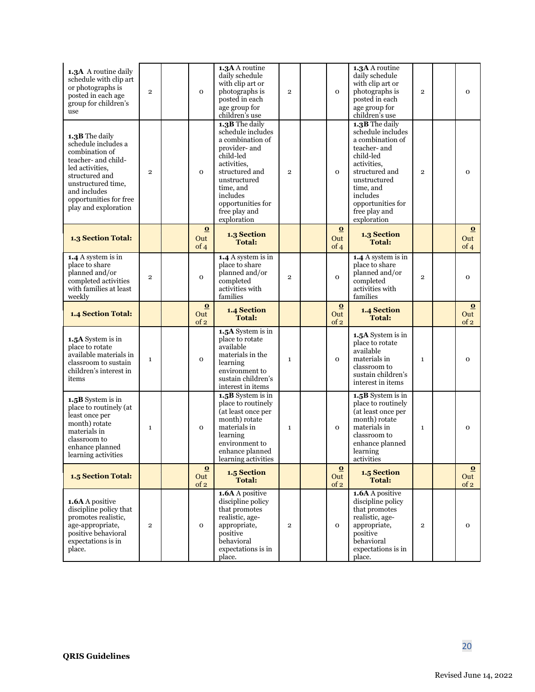| 1.3A A routine daily<br>schedule with clip art<br>or photographs is<br>posted in each age<br>group for children's<br>use                                                                                    | $\overline{2}$ | $\mathbf{o}$            | 1.3A A routine<br>daily schedule<br>with clip art or<br>photographs is<br>posted in each<br>age group for<br>children's use                                                                                          | $\overline{2}$ | $\mathbf{o}$            | 1.3A A routine<br>daily schedule<br>with clip art or<br>photographs is<br>posted in each<br>age group for<br>children's use                                                                                         | $\overline{2}$ | $\mathbf{o}$            |
|-------------------------------------------------------------------------------------------------------------------------------------------------------------------------------------------------------------|----------------|-------------------------|----------------------------------------------------------------------------------------------------------------------------------------------------------------------------------------------------------------------|----------------|-------------------------|---------------------------------------------------------------------------------------------------------------------------------------------------------------------------------------------------------------------|----------------|-------------------------|
| 1.3B The daily<br>schedule includes a<br>combination of<br>teacher- and child-<br>led activities,<br>structured and<br>unstructured time,<br>and includes<br>opportunities for free<br>play and exploration | $\overline{2}$ | $\mathbf{O}$            | 1.3B The daily<br>schedule includes<br>a combination of<br>provider- and<br>child-led<br>activities,<br>structured and<br>unstructured<br>time, and<br>includes<br>opportunities for<br>free play and<br>exploration | $\overline{2}$ | $\mathbf{O}$            | 1.3B The daily<br>schedule includes<br>a combination of<br>teacher- and<br>child-led<br>activities,<br>structured and<br>unstructured<br>time, and<br>includes<br>opportunities for<br>free play and<br>exploration | $\overline{2}$ | $\mathbf{o}$            |
| 1.3 Section Total:                                                                                                                                                                                          |                | $\Omega$<br>Out<br>of 4 | 1.3 Section<br><b>Total:</b>                                                                                                                                                                                         |                | $\Omega$<br>Out<br>of 4 | 1.3 Section<br><b>Total:</b>                                                                                                                                                                                        |                | $\Omega$<br>Out<br>of 4 |
| 1.4 A system is in<br>place to share<br>planned and/or<br>completed activities<br>with families at least<br>weekly                                                                                          | $\overline{2}$ | $\mathbf{o}$            | 1.4 A system is in<br>place to share<br>planned and/or<br>completed<br>activities with<br>families                                                                                                                   | $\overline{2}$ | $\mathbf{o}$            | 1.4 A system is in<br>place to share<br>planned and/or<br>completed<br>activities with<br>families                                                                                                                  | $\overline{2}$ | $\overline{O}$          |
| 1.4 Section Total:                                                                                                                                                                                          |                | $\Omega$<br>Out<br>of 2 | 1.4 Section<br><b>Total:</b>                                                                                                                                                                                         |                | $\Omega$<br>Out<br>of 2 | 1.4 Section<br><b>Total:</b>                                                                                                                                                                                        |                | $\Omega$<br>Out<br>of 2 |
| 1.5A System is in<br>place to rotate<br>available materials in<br>classroom to sustain<br>children's interest in<br>items                                                                                   | $\mathbf{1}$   | $\mathbf{o}$            | 1.5A System is in<br>place to rotate<br>available<br>materials in the<br>learning<br>environment to<br>sustain children's<br>interest in items                                                                       | $\mathbf{1}$   | $\mathbf{o}$            | 1.5A System is in<br>place to rotate<br>available<br>materials in<br>classroom to<br>sustain children's<br>interest in items                                                                                        | $\mathbf{1}$   | $\mathbf{o}$            |
| 1.5B System is in<br>place to routinely (at<br>least once per<br>month) rotate<br>materials in<br>classroom to<br>enhance planned<br>learning activities                                                    | $\mathbf{1}$   | $\mathbf{o}$            | 1.5B System is in<br>place to routinely<br>(at least once per<br>month) rotate<br>materials in<br>learning<br>environment to<br>enhance planned<br>learning activities                                               | $\mathbf 1$    | $\mathbf{o}$            | 1.5B System is in<br>place to routinely<br>(at least once per<br>month) rotate<br>materials in<br>classroom to<br>enhance planned<br>learning<br>activities                                                         | $\mathbf{1}$   | $\overline{O}$          |
| 1.5 Section Total:                                                                                                                                                                                          |                | $\bf{o}$<br>Out<br>of 2 | 1.5 Section<br><b>Total:</b>                                                                                                                                                                                         |                | $\Omega$<br>Out<br>of 2 | 1.5 Section<br><b>Total:</b>                                                                                                                                                                                        |                | $\bf{0}$<br>Out<br>of 2 |
| 1.6A A positive<br>discipline policy that<br>promotes realistic,<br>age-appropriate,<br>positive behavioral<br>expectations is in<br>place.                                                                 | $\overline{2}$ | $\mathbf 0$             | $1.6A$ A positive<br>discipline policy<br>that promotes<br>realistic, age-<br>appropriate,<br>positive<br>behavioral<br>expectations is in<br>place.                                                                 | $\mathbf{2}$   | $\mathbf 0$             | 1.6A A positive<br>discipline policy<br>that promotes<br>realistic, age-<br>appropriate,<br>positive<br>behavioral<br>expectations is in<br>place.                                                                  | $\overline{2}$ | $\mathbf 0$             |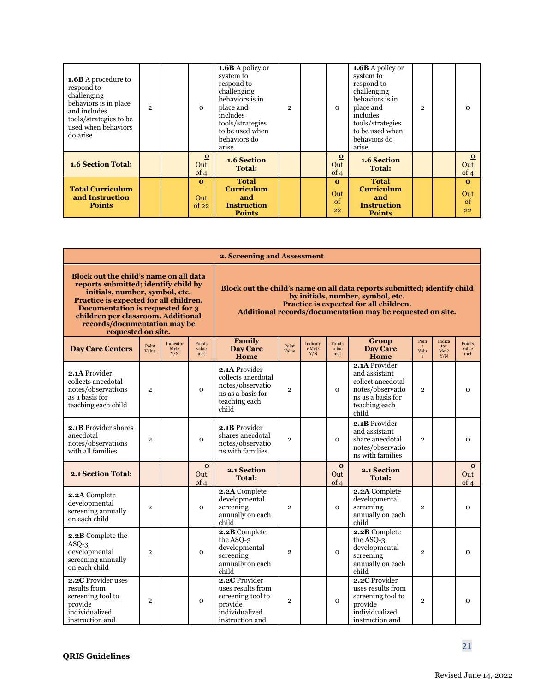| <b>1.6B</b> A procedure to<br>respond to<br>challenging<br>behaviors is in place<br>and includes<br>tools/strategies to be<br>used when behaviors<br>do arise | $\mathfrak{p}$ | $\Omega$                 | 1.6B A policy or<br>system to<br>respond to<br>challenging<br>behaviors is in<br>place and<br>includes<br>tools/strategies<br>to be used when<br>behaviors do<br>arise | $\overline{2}$ | $\Omega$                    | 1.6B A policy or<br>system to<br>respond to<br>challenging<br>behaviors is in<br>place and<br>includes<br>tools/strategies<br>to be used when<br>behaviors do<br>arise | $\overline{2}$ | $\Omega$                    |
|---------------------------------------------------------------------------------------------------------------------------------------------------------------|----------------|--------------------------|------------------------------------------------------------------------------------------------------------------------------------------------------------------------|----------------|-----------------------------|------------------------------------------------------------------------------------------------------------------------------------------------------------------------|----------------|-----------------------------|
| <b>1.6 Section Total:</b>                                                                                                                                     |                | $\Omega$<br>Out<br>of 4  | 1.6 Section<br><b>Total:</b>                                                                                                                                           |                | $\bf{o}$<br>Out<br>of 4     | 1.6 Section<br><b>Total:</b>                                                                                                                                           |                | $\Omega$<br>Out<br>of 4     |
| <b>Total Curriculum</b><br>and Instruction<br><b>Points</b>                                                                                                   |                | $\Omega$<br>Out<br>of 22 | <b>Total</b><br><b>Curriculum</b><br>and<br><b>Instruction</b><br><b>Points</b>                                                                                        |                | $\Omega$<br>Out<br>of<br>22 | <b>Total</b><br><b>Curriculum</b><br>and<br><b>Instruction</b><br><b>Points</b>                                                                                        |                | $\Omega$<br>Out<br>of<br>22 |

|                                                                                                                                                                                                                                                                                            |                |                          |                         | 2. Screening and Assessment                                                                             |                |                           |                         |                                                                                                                                                                                                                       |                                            |                              |                         |
|--------------------------------------------------------------------------------------------------------------------------------------------------------------------------------------------------------------------------------------------------------------------------------------------|----------------|--------------------------|-------------------------|---------------------------------------------------------------------------------------------------------|----------------|---------------------------|-------------------------|-----------------------------------------------------------------------------------------------------------------------------------------------------------------------------------------------------------------------|--------------------------------------------|------------------------------|-------------------------|
| Block out the child's name on all data<br>reports submitted; identify child by<br>initials, number, symbol, etc.<br>Practice is expected for all children.<br>Documentation is requested for 3<br>children per classroom. Additional<br>records/documentation may be<br>requested on site. |                |                          |                         |                                                                                                         |                |                           |                         | Block out the child's name on all data reports submitted; identify child<br>by initials, number, symbol, etc.<br>Practice is expected for all children.<br>Additional records/documentation may be requested on site. |                                            |                              |                         |
| <b>Day Care Centers</b>                                                                                                                                                                                                                                                                    | Point<br>Value | Indicator<br>Met?<br>Y/N | Points<br>value<br>met  | Family<br><b>Day Care</b><br>Home                                                                       | Point<br>Value | Indicato<br>r Met?<br>Y/N | Points<br>value<br>met  | Group<br><b>Day Care</b><br>Home                                                                                                                                                                                      | Poin<br>$\ddagger$<br>Valu<br>$\mathbf{e}$ | Indica<br>tor<br>Met?<br>Y/N | Points<br>value<br>met  |
| 2.1A Provider<br>collects anecdotal<br>notes/observations<br>as a basis for<br>teaching each child                                                                                                                                                                                         | $\overline{2}$ |                          | $\mathbf{o}$            | 2.1A Provider<br>collects anecdotal<br>notes/observatio<br>ns as a basis for<br>teaching each<br>child  | $\overline{2}$ |                           | $\overline{O}$          | 2.1A Provider<br>and assistant<br>collect anecdotal<br>notes/observatio<br>ns as a basis for<br>teaching each<br>child                                                                                                | $\overline{2}$                             |                              | $\mathbf{o}$            |
| 2.1B Provider shares<br>anecdotal<br>notes/observations<br>with all families                                                                                                                                                                                                               | $\overline{2}$ |                          | $\mathbf{o}$            | 2.1B Provider<br>shares anecdotal<br>notes/observatio<br>ns with families                               | $\overline{2}$ |                           | $\Omega$                | 2.1B Provider<br>and assistant<br>share anecdotal<br>notes/observatio<br>ns with families                                                                                                                             | $\overline{2}$                             |                              | $\Omega$                |
| 2.1 Section Total:                                                                                                                                                                                                                                                                         |                |                          | $\bf{o}$<br>Out<br>of 4 | 2.1 Section<br><b>Total:</b>                                                                            |                |                           | $\bf{O}$<br>Out<br>of 4 | 2.1 Section<br><b>Total:</b>                                                                                                                                                                                          |                                            |                              | $\bf{0}$<br>Out<br>of 4 |
| 2.2A Complete<br>developmental<br>screening annually<br>on each child                                                                                                                                                                                                                      | $\overline{2}$ |                          | $\mathbf{o}$            | 2.2A Complete<br>developmental<br>screening<br>annually on each<br>child                                | $\overline{2}$ |                           | $\mathbf{o}$            | 2.2A Complete<br>developmental<br>screening<br>annually on each<br>child                                                                                                                                              | $\overline{2}$                             |                              | $\mathbf{o}$            |
| 2.2B Complete the<br>$ASO-3$<br>developmental<br>screening annually<br>on each child                                                                                                                                                                                                       | $\overline{2}$ |                          | $\mathbf{o}$            | 2.2B Complete<br>the ASO-3<br>developmental<br>screening<br>annually on each<br>child                   | $\overline{2}$ |                           | $\mathbf{o}$            | 2.2B Complete<br>the ASO-3<br>developmental<br>screening<br>annually on each<br>child                                                                                                                                 | $\overline{2}$                             |                              | $\mathbf{o}$            |
| 2.2C Provider uses<br>results from<br>screening tool to<br>provide<br>individualized<br>instruction and                                                                                                                                                                                    | $\overline{2}$ |                          | $\mathbf 0$             | 2.2C Provider<br>uses results from<br>screening tool to<br>provide<br>individualized<br>instruction and | $\overline{2}$ |                           | $\overline{O}$          | 2.2C Provider<br>uses results from<br>screening tool to<br>provide<br>individualized<br>instruction and                                                                                                               | $\overline{2}$                             |                              | $\mathbf{o}$            |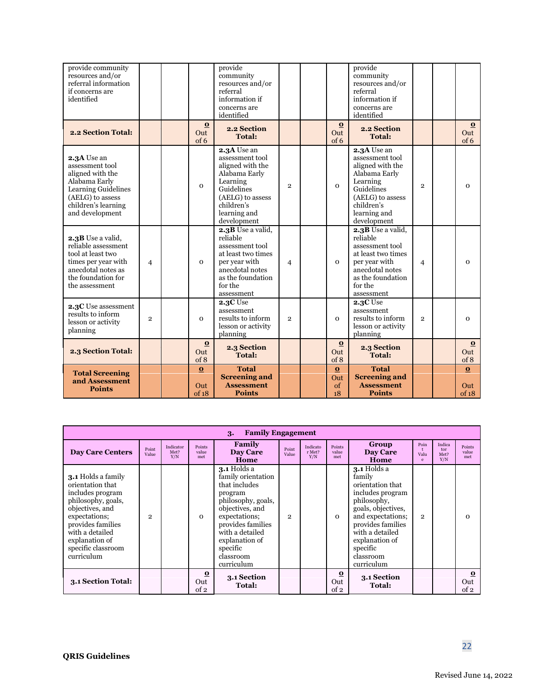| provide community<br>resources and/or<br>referral information<br>if concerns are<br>identified                                                           |                |                          | provide<br>community<br>resources and/or<br>referral<br>information if<br>concerns are<br>identified                                                           |                |                             | provide<br>community<br>resources and/or<br>referral<br>information if<br>concerns are<br>identified                                                           |                |                          |
|----------------------------------------------------------------------------------------------------------------------------------------------------------|----------------|--------------------------|----------------------------------------------------------------------------------------------------------------------------------------------------------------|----------------|-----------------------------|----------------------------------------------------------------------------------------------------------------------------------------------------------------|----------------|--------------------------|
| 2.2 Section Total:                                                                                                                                       |                | $\bf{0}$<br>Out<br>of 6  | 2.2 Section<br><b>Total:</b>                                                                                                                                   |                | $\bf{0}$<br>Out<br>of 6     | 2.2 Section<br><b>Total:</b>                                                                                                                                   |                | $\bf{0}$<br>Out<br>of 6  |
| 2.3A Use an<br>assessment tool<br>aligned with the<br>Alabama Early<br>Learning Guidelines<br>(AELG) to assess<br>children's learning<br>and development |                | $\mathbf{o}$             | 2.3A Use an<br>assessment tool<br>aligned with the<br>Alabama Early<br>Learning<br>Guidelines<br>(AELG) to assess<br>children's<br>learning and<br>development | $\overline{2}$ | $\mathbf{o}$                | 2.3A Use an<br>assessment tool<br>aligned with the<br>Alabama Early<br>Learning<br>Guidelines<br>(AELG) to assess<br>children's<br>learning and<br>development | $\overline{2}$ | $\mathbf{o}$             |
| 2.3B Use a valid,<br>reliable assessment<br>tool at least two<br>times per year with<br>anecdotal notes as<br>the foundation for<br>the assessment       | $\overline{4}$ | $\Omega$                 | 2.3B Use a valid,<br>reliable<br>assessment tool<br>at least two times<br>per year with<br>anecdotal notes<br>as the foundation<br>for the<br>assessment       | $\overline{4}$ | $\Omega$                    | 2.3B Use a valid,<br>reliable<br>assessment tool<br>at least two times<br>per year with<br>anecdotal notes<br>as the foundation<br>for the<br>assessment       | $\overline{4}$ | $\mathbf{o}$             |
| 2.3C Use assessment<br>results to inform<br>lesson or activity<br>planning                                                                               | $\overline{2}$ | $\Omega$                 | 2.3C Use<br>assessment<br>results to inform<br>lesson or activity<br>planning                                                                                  | $\overline{2}$ | $\mathbf{o}$                | 2.3C Use<br>assessment<br>results to inform<br>lesson or activity<br>planning                                                                                  | $\overline{2}$ | $\mathbf{o}$             |
| 2.3 Section Total:                                                                                                                                       |                | $\bf{O}$<br>Out<br>of 8  | 2.3 Section<br><b>Total:</b>                                                                                                                                   |                | $\bf{0}$<br>Out<br>of 8     | 2.3 Section<br><b>Total:</b>                                                                                                                                   |                | $\bf{O}$<br>Out<br>of 8  |
| <b>Total Screening</b><br>and Assessment<br><b>Points</b>                                                                                                |                | $\Omega$<br>Out<br>of 18 | <b>Total</b><br><b>Screening and</b><br><b>Assessment</b><br><b>Points</b>                                                                                     |                | $\Omega$<br>Out<br>of<br>18 | <b>Total</b><br><b>Screening and</b><br><b>Assessment</b><br><b>Points</b>                                                                                     |                | $\Omega$<br>Out<br>of 18 |

|                                                                                                                                                                                                                    |                |                          |                                        | <b>Family Engagement</b><br>3.                                                                                                                                                                                           |                |                           |                                        |                                                                                                                                                                                                                          |                              |                              |                         |
|--------------------------------------------------------------------------------------------------------------------------------------------------------------------------------------------------------------------|----------------|--------------------------|----------------------------------------|--------------------------------------------------------------------------------------------------------------------------------------------------------------------------------------------------------------------------|----------------|---------------------------|----------------------------------------|--------------------------------------------------------------------------------------------------------------------------------------------------------------------------------------------------------------------------|------------------------------|------------------------------|-------------------------|
| <b>Day Care Centers</b>                                                                                                                                                                                            | Point<br>Value | Indicator<br>Met?<br>Y/N | Points<br>value<br>met                 | Family<br>Day Care<br>Home                                                                                                                                                                                               | Point<br>Value | Indicato<br>r Met?<br>Y/N | Points<br>value<br>met                 | Group<br>Day Care<br>Home                                                                                                                                                                                                | Poin<br>Valu<br>$\mathbf{e}$ | Indica<br>tor<br>Met?<br>Y/N | Points<br>value<br>met  |
| 3.1 Holds a family<br>orientation that<br>includes program<br>philosophy, goals,<br>objectives, and<br>expectations;<br>provides families<br>with a detailed<br>explanation of<br>specific classroom<br>curriculum | $\mathbf{2}$   |                          | $\Omega$                               | 3.1 Holds a<br>family orientation<br>that includes<br>program<br>philosophy, goals,<br>objectives, and<br>expectations;<br>provides families<br>with a detailed<br>explanation of<br>specific<br>classroom<br>curriculum | $\mathbf{2}$   |                           | $\Omega$                               | 3.1 Holds a<br>family<br>orientation that<br>includes program<br>philosophy,<br>goals, objectives,<br>and expectations;<br>provides families<br>with a detailed<br>explanation of<br>specific<br>classroom<br>curriculum | $\overline{2}$               |                              | $\Omega$                |
| 3.1 Section Total:                                                                                                                                                                                                 |                |                          | $\overline{\mathbf{o}}$<br>Out<br>of 2 | 3.1 Section<br><b>Total:</b>                                                                                                                                                                                             |                |                           | $\overline{\mathbf{o}}$<br>Out<br>of 2 | 3.1 Section<br><b>Total:</b>                                                                                                                                                                                             |                              |                              | $\bf{o}$<br>Out<br>of 2 |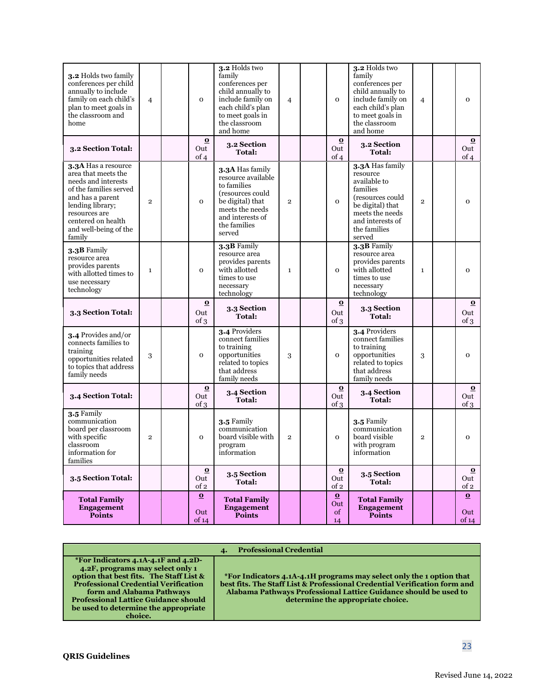| 3.2 Holds two family<br>conferences per child<br>annually to include<br>family on each child's<br>plan to meet goals in<br>the classroom and<br>home                                                          | $\overline{4}$ | $\mathbf{O}$             | 3.2 Holds two<br>family<br>conferences per<br>child annually to<br>include family on<br>each child's plan<br>to meet goals in<br>the classroom<br>and home    | $\overline{4}$ | $\mathbf{O}$                        | 3.2 Holds two<br>family<br>conferences per<br>child annually to<br>include family on<br>each child's plan<br>to meet goals in<br>the classroom<br>and home       | $\overline{4}$ | $\mathbf 0$              |
|---------------------------------------------------------------------------------------------------------------------------------------------------------------------------------------------------------------|----------------|--------------------------|---------------------------------------------------------------------------------------------------------------------------------------------------------------|----------------|-------------------------------------|------------------------------------------------------------------------------------------------------------------------------------------------------------------|----------------|--------------------------|
| 3.2 Section Total:                                                                                                                                                                                            |                | $\bf{O}$<br>Out<br>of 4  | 3.2 Section<br><b>Total:</b>                                                                                                                                  |                | $\bf{0}$<br>Out<br>of 4             | 3.2 Section<br>Total:                                                                                                                                            |                | $\bf{0}$<br>Out<br>of 4  |
| 3.3A Has a resource<br>area that meets the<br>needs and interests<br>of the families served<br>and has a parent<br>lending library;<br>resources are<br>centered on health<br>and well-being of the<br>family | $\mathbf{2}$   | $\mathbf{O}$             | 3.3A Has family<br>resource available<br>to families<br>(resources could<br>be digital) that<br>meets the needs<br>and interests of<br>the families<br>served | $\mathbf{2}$   | $\mathbf{O}$                        | 3.3A Has family<br>resource<br>available to<br>families<br>(resources could<br>be digital) that<br>meets the needs<br>and interests of<br>the families<br>served | $\overline{2}$ | $\mathbf 0$              |
| 3.3B Family<br>resource area<br>provides parents<br>with allotted times to<br>use necessary<br>technology                                                                                                     | $\mathbf{1}$   | $\mathbf{O}$             | $3.3B$ Family<br>resource area<br>provides parents<br>with allotted<br>times to use<br>necessary<br>technology                                                | $\mathbf{1}$   | $\mathbf{O}$                        | 3.3B Family<br>resource area<br>provides parents<br>with allotted<br>times to use<br>necessary<br>technology                                                     | $\mathbf{1}$   | $\mathbf 0$              |
| 3.3 Section Total:                                                                                                                                                                                            |                | $\bf{O}$<br>Out<br>of 3  | 3.3 Section<br><b>Total:</b>                                                                                                                                  |                | $\Omega$<br>Out<br>of 3             | 3.3 Section<br>Total:                                                                                                                                            |                | $\Omega$<br>Out<br>of 3  |
| 3.4 Provides and/or<br>connects families to<br>training<br>opportunities related<br>to topics that address<br>family needs                                                                                    | 3              | $\mathbf{O}$             | 3.4 Providers<br>connect families<br>to training<br>opportunities<br>related to topics<br>that address<br>family needs                                        | 3              | $\mathbf{O}$                        | 3.4 Providers<br>connect families<br>to training<br>opportunities<br>related to topics<br>that address<br>family needs                                           | 3              | $\mathbf{o}$             |
| 3.4 Section Total:                                                                                                                                                                                            |                | $\bf{O}$<br>Out<br>of 3  | 3.4 Section<br><b>Total:</b>                                                                                                                                  |                | $\bf{O}$<br>Out<br>of $\mathcal{R}$ | 3.4 Section<br>Total:                                                                                                                                            |                | $\bf{0}$<br>Out<br>of 3  |
| 3.5 Family<br>communication<br>board per classroom<br>with specific<br>classroom<br>information for<br>families                                                                                               | $\overline{2}$ | $\mathbf 0$              | 3.5 Family<br>communication<br>board visible with<br>program<br>information                                                                                   | $\mathbf 2$    | $\mathbf 0$                         | 3.5 Family<br>communication<br>board visible<br>with program<br>information                                                                                      | $\overline{2}$ | $\mathbf{o}$             |
| 3.5 Section Total:                                                                                                                                                                                            |                | $\bf{0}$<br>Out<br>of 2  | 3.5 Section<br>Total:                                                                                                                                         |                | $\bf{O}$<br>Out<br>of 2             | <b>3.5 Section</b><br>Total:                                                                                                                                     |                | $\Omega$<br>Out<br>of 2  |
| <b>Total Family</b><br><b>Engagement</b><br><b>Points</b>                                                                                                                                                     |                | $\Omega$<br>Out<br>of 14 | <b>Total Family</b><br><b>Engagement</b><br><b>Points</b>                                                                                                     |                | $\Omega$<br>Out<br>of<br>14         | <b>Total Family</b><br><b>Engagement</b><br><b>Points</b>                                                                                                        |                | $\Omega$<br>Out<br>of 14 |

| <b>Professional Credential</b>                                                                                                                                                                                                                                                                                                                                                                                                                                                                                                                                 |  |
|----------------------------------------------------------------------------------------------------------------------------------------------------------------------------------------------------------------------------------------------------------------------------------------------------------------------------------------------------------------------------------------------------------------------------------------------------------------------------------------------------------------------------------------------------------------|--|
| *For Indicators 4.1A-4.1F and 4.2D-<br>4.2F, programs may select only 1<br>option that best fits. The Staff List &<br>*For Indicators 4.1A-4.1H programs may select only the 1 option that<br>best fits. The Staff List & Professional Credential Verification form and<br><b>Professional Credential Verification</b><br>Alabama Pathways Professional Lattice Guidance should be used to<br>form and Alabama Pathways<br><b>Professional Lattice Guidance should</b><br>determine the appropriate choice.<br>be used to determine the appropriate<br>choice. |  |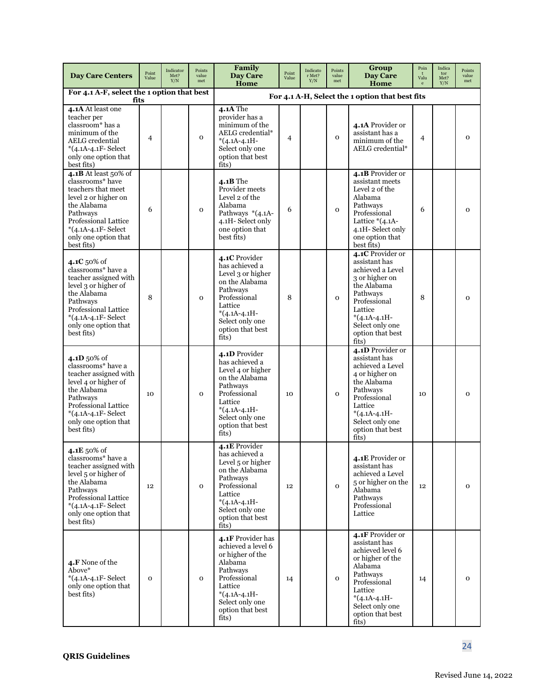| <b>Day Care Centers</b>                                                                                                                                                                               | Point<br>Value | Indicator<br>Met?<br>Y/N | Points<br>value<br>met | Family<br>Day Care<br>Home                                                                                                                                                      | Point<br>Value | Indicato<br>r Met?<br>Y/N | Points<br>value<br>met | Group<br>Day Care<br>Home                                                                                                                                                                       | Poin<br>Valu<br>$\mathbf{e}$ | Indica<br>tor<br>Met?<br>Y/N | Points<br>value<br>met |
|-------------------------------------------------------------------------------------------------------------------------------------------------------------------------------------------------------|----------------|--------------------------|------------------------|---------------------------------------------------------------------------------------------------------------------------------------------------------------------------------|----------------|---------------------------|------------------------|-------------------------------------------------------------------------------------------------------------------------------------------------------------------------------------------------|------------------------------|------------------------------|------------------------|
| For 4.1 A-F, select the 1 option that best<br>fits                                                                                                                                                    |                |                          |                        |                                                                                                                                                                                 |                |                           |                        | For 4.1 A-H, Select the 1 option that best fits                                                                                                                                                 |                              |                              |                        |
| 4.1A At least one<br>teacher per<br>classroom* has a<br>minimum of the<br><b>AELG</b> credential<br>*(4.1A-4.1F-Select<br>only one option that<br>best fits)                                          | 4              |                          | $\mathbf{o}$           | <b>4.1A</b> The<br>provider has a<br>minimum of the<br>AELG credential*<br>$*(4.1A-4.1H-$<br>Select only one<br>option that best<br>fits)                                       | $\overline{4}$ |                           | $\mathbf{O}$           | 4.1A Provider or<br>assistant has a<br>minimum of the<br>AELG credential*                                                                                                                       | $\overline{4}$               |                              | $\overline{0}$         |
| 4.1B At least 50% of<br>classrooms* have<br>teachers that meet<br>level 2 or higher on<br>the Alabama<br>Pathways<br>Professional Lattice<br>*(4.1A-4.1F-Select<br>only one option that<br>best fits) | 6              |                          | $\mathbf{o}$           | $4.1B$ The<br>Provider meets<br>Level 2 of the<br>Alabama<br>Pathways *(4.1A-<br>4.1H-Select only<br>one option that<br>best fits)                                              | 6              |                           | $\mathbf{O}$           | 4.1B Provider or<br>assistant meets<br>Level 2 of the<br>Alabama<br>Pathways<br>Professional<br>Lattice $*(4.1A-$<br>4.1H-Select only<br>one option that<br>best fits)                          | 6                            |                              | $\overline{0}$         |
| 4.1C $50\%$ of<br>classrooms* have a<br>teacher assigned with<br>level 3 or higher of<br>the Alabama<br>Pathways<br>Professional Lattice<br>*(4.1A-4.1F-Select<br>only one option that<br>best fits)  | 8              |                          | $\mathbf{O}$           | 4.1C Provider<br>has achieved a<br>Level 3 or higher<br>on the Alabama<br>Pathways<br>Professional<br>Lattice<br>$*(4.1A-4.1H-$<br>Select only one<br>option that best<br>fits) | 8              |                           | $\mathbf 0$            | 4.1C Provider or<br>assistant has<br>achieved a Level<br>3 or higher on<br>the Alabama<br>Pathways<br>Professional<br>Lattice<br>$*(4.1A-4.1H-$<br>Select only one<br>option that best<br>fits) | 8                            |                              | $\mathbf{O}$           |
| 4.1D 50% of<br>classrooms* have a<br>teacher assigned with<br>level 4 or higher of<br>the Alabama<br>Pathways<br>Professional Lattice<br>*(4.1A-4.1F-Select<br>only one option that<br>best fits)     | 10             |                          | $\mathbf{O}$           | 4.1D Provider<br>has achieved a<br>Level 4 or higher<br>on the Alabama<br>Pathways<br>Professional<br>Lattice<br>$*(4.1A-4.1H-$<br>Select only one<br>option that best<br>fits) | 10             |                           | $\mathbf{O}$           | 4.1D Provider or<br>assistant has<br>achieved a Level<br>4 or higher on<br>the Alabama<br>Pathways<br>Professional<br>Lattice<br>$*(4.1A-4.1H-$<br>Select only one<br>option that best<br>fits) | 10                           |                              | $\mathbf{O}$           |
| 4.1E 50% of<br>classrooms* have a<br>teacher assigned with<br>level 5 or higher of<br>the Alabama<br>Pathways<br>Professional Lattice<br>*(4.1A-4.1F-Select<br>only one option that<br>best fits)     | 12             |                          | $\mathbf{o}$           | 4.1E Provider<br>has achieved a<br>Level 5 or higher<br>on the Alabama<br>Pathways<br>Professional<br>Lattice<br>$*(4.1A-4.1H-$<br>Select only one<br>option that best<br>fits) | 12             |                           | $\mathbf{O}$           | 4.1E Provider or<br>assistant has<br>achieved a Level<br>5 or higher on the<br>Alabama<br>Pathways<br>Professional<br>Lattice                                                                   | 12                           |                              | $\mathbf{O}$           |
| 4.F None of the<br>Above*<br>*(4.1A-4.1F-Select<br>only one option that<br>best fits)                                                                                                                 | $\mathbf{o}$   |                          | $\mathbf{o}$           | 4.1F Provider has<br>achieved a level 6<br>or higher of the<br>Alabama<br>Pathways<br>Professional<br>Lattice<br>$*(4.1A-4.1H-$<br>Select only one<br>option that best<br>fits) | 14             |                           | $\mathbf 0$            | 4.1F Provider or<br>assistant has<br>achieved level 6<br>or higher of the<br>Alabama<br>Pathways<br>Professional<br>Lattice<br>$*(4.1A-4.1H-$<br>Select only one<br>option that best<br>fits)   | 14                           |                              | $\mathbf 0$            |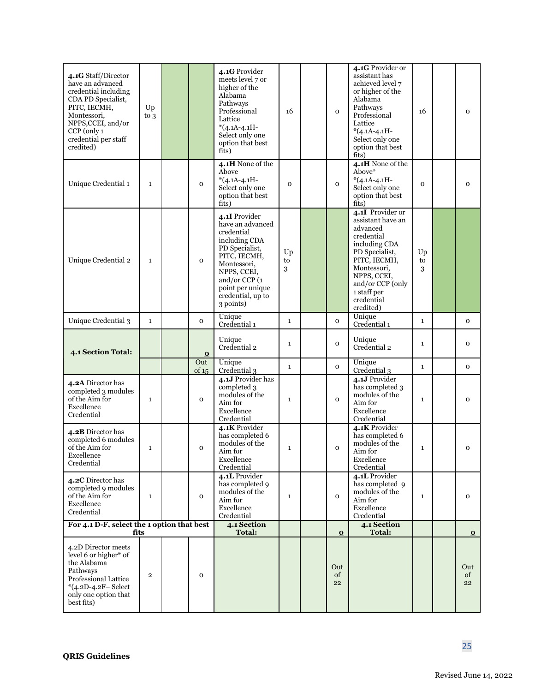| 4.1G Staff/Director<br>have an advanced<br>credential including<br>CDA PD Specialist,<br>PITC, IECMH,<br>Montessori,<br>NPPS, CCEI, and/or<br>CCP (only 1<br>credential per staff<br>credited) | Up<br>$\mathop{\rm to}\nolimits 3$ |              | 4.1G Provider<br>meets level 7 or<br>higher of the<br>Alabama<br>Pathways<br>Professional<br>Lattice<br>$*(4.1A-4.1H-$<br>Select only one<br>option that best<br>fits)                                  | 16            | $\mathbf{o}$    | 4.1G Provider or<br>assistant has<br>achieved level 7<br>or higher of the<br>Alabama<br>Pathways<br>Professional<br>Lattice<br>$*(4.1A-4.1H-$<br>Select only one<br>option that best<br>fits)                  | 16            | $\mathbf 0$             |
|------------------------------------------------------------------------------------------------------------------------------------------------------------------------------------------------|------------------------------------|--------------|---------------------------------------------------------------------------------------------------------------------------------------------------------------------------------------------------------|---------------|-----------------|----------------------------------------------------------------------------------------------------------------------------------------------------------------------------------------------------------------|---------------|-------------------------|
| Unique Credential 1                                                                                                                                                                            | $\mathbf{1}$                       | $\mathbf 0$  | 4.1H None of the<br>Above<br>$*(4.1A-4.1H-$<br>Select only one<br>option that best<br>fits)                                                                                                             | $\Omega$      | $\mathbf{o}$    | 4.1H None of the<br>Above*<br>$*(4.1A-4.1H-$<br>Select only one<br>option that best<br>fits)                                                                                                                   | $\mathbf{o}$  | $\mathbf{o}$            |
| Unique Credential 2                                                                                                                                                                            | $\mathbf{1}$                       | $\mathbf{o}$ | 4.1I Provider<br>have an advanced<br>credential<br>including CDA<br>PD Specialist,<br>PITC, IECMH,<br>Montessori,<br>NPPS, CCEI,<br>and/or CCP (1<br>point per unique<br>credential, up to<br>3 points) | Up<br>to<br>3 |                 | 4.1I Provider or<br>assistant have an<br>advanced<br>credential<br>including CDA<br>PD Specialist,<br>PITC, IECMH,<br>Montessori,<br>NPPS, CCEI,<br>and/or CCP (only<br>1 staff per<br>credential<br>credited) | Up<br>to<br>3 |                         |
| Unique Credential 3                                                                                                                                                                            | $\mathbf{1}$                       | $\mathbf 0$  | Unique<br>Credential 1                                                                                                                                                                                  | $\mathbf 1$   | $\mathbf{o}$    | Unique<br>Credential 1                                                                                                                                                                                         | $\mathbf{1}$  | $\mathbf 0$             |
| 4.1 Section Total:                                                                                                                                                                             |                                    | $\bf{O}$     | Unique<br>Credential 2                                                                                                                                                                                  | $\mathbf 1$   | $\mathbf{o}$    | Unique<br>Credential 2                                                                                                                                                                                         | $\mathbf{1}$  | $\mathbf 0$             |
|                                                                                                                                                                                                |                                    | Out<br>of 15 | Unique<br>Credential 3                                                                                                                                                                                  | $\mathbf{1}$  | $\mathbf{O}$    | Unique<br>Credential 3                                                                                                                                                                                         | $\mathbf{1}$  | $\mathbf 0$             |
| 4.2A Director has<br>completed 3 modules<br>of the Aim for<br>Excellence<br>Credential                                                                                                         | $\mathbf{1}$                       | $\mathbf{o}$ | 4.1J Provider has<br>completed 3<br>modules of the<br>Aim for<br>Excellence<br>Credential                                                                                                               | $\mathbf{1}$  | $\mathbf{o}$    | 4.1J Provider<br>has completed 3<br>modules of the<br>Aim for<br>Excellence<br>Credential                                                                                                                      | $\mathbf{1}$  | $\mathbf{o}$            |
| 4.2B Director has<br>completed 6 modules<br>of the Aim for<br>Excellence<br>Credential                                                                                                         | $\mathbf{1}$                       | $\mathbf 0$  | 4.1K Provider<br>has completed 6<br>modules of the<br>Aim for<br>Excellence<br>Credential                                                                                                               | $\mathbf 1$   | $\mathbf{o}$    | 4.1K Provider<br>has completed 6<br>modules of the<br>Aim for<br>Excellence<br>Credential                                                                                                                      | $\mathbf{1}$  | $\mathbf{o}$            |
| 4.2C Director has<br>completed 9 modules<br>of the Aim for<br>Excellence<br>Credential                                                                                                         | $\mathbf 1$                        | $\mathbf 0$  | 4.1L Provider<br>has completed 9<br>modules of the<br>Aim for<br>Excellence<br>Credential                                                                                                               | $\mathbf{1}$  | $\mathbf{o}$    | 4.1L Provider<br>has completed 9<br>modules of the<br>Aim for<br>Excellence<br>Credential                                                                                                                      | $\mathbf{1}$  | $\mathbf 0$             |
| For 4.1 D-F, select the 1 option that best<br>fits                                                                                                                                             |                                    |              | 4.1 Section<br><b>Total:</b>                                                                                                                                                                            |               | $\bf{0}$        | 4.1 Section<br><b>Total:</b>                                                                                                                                                                                   |               | $\overline{\mathbf{o}}$ |
| 4.2D Director meets<br>level 6 or higher* of<br>the Alabama<br>Pathways<br>Professional Lattice<br>$*(4.2D - 4.2F - Select$<br>only one option that<br>best fits)                              | $\overline{2}$                     | $\mathbf 0$  |                                                                                                                                                                                                         |               | Out<br>of<br>22 |                                                                                                                                                                                                                |               | Out<br>of<br>22         |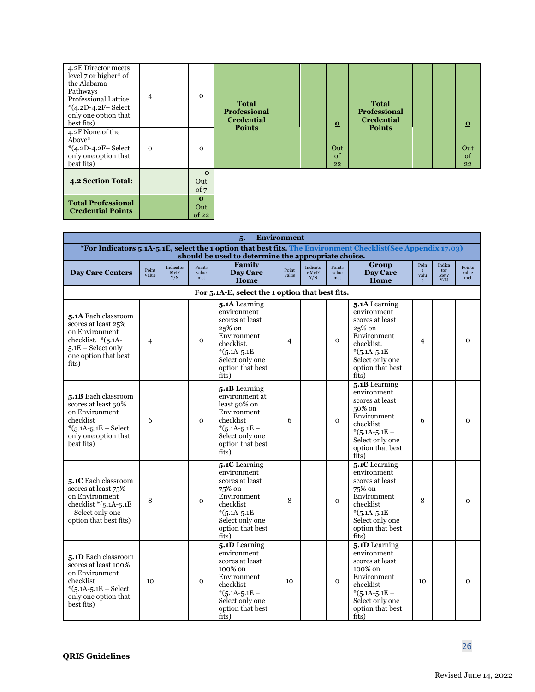| 4.2E Director meets<br>level 7 or higher* of<br>the Alabama<br>Pathways<br><b>Professional Lattice</b><br>$*(4.2D - 4.2F - Select$<br>only one option that<br>best fits) | 4        | $\Omega$                 | <b>Total</b><br><b>Professional</b><br><b>Credential</b><br><b>Points</b> |  | $\Omega$        | <b>Total</b><br><b>Professional</b><br><b>Credential</b><br><b>Points</b> |  | $\Omega$        |
|--------------------------------------------------------------------------------------------------------------------------------------------------------------------------|----------|--------------------------|---------------------------------------------------------------------------|--|-----------------|---------------------------------------------------------------------------|--|-----------------|
| 4.2F None of the<br>Above*<br>*(4.2D-4.2F-Select<br>only one option that<br>best fits)                                                                                   | $\Omega$ | $\Omega$                 |                                                                           |  | Out<br>of<br>22 |                                                                           |  | Out<br>of<br>22 |
| <b>4.2 Section Total:</b>                                                                                                                                                |          | $\bf{O}$<br>Out<br>of 7  |                                                                           |  |                 |                                                                           |  |                 |
| <b>Total Professional</b><br><b>Credential Points</b>                                                                                                                    |          | $\Omega$<br>Out<br>of 22 |                                                                           |  |                 |                                                                           |  |                 |

<span id="page-25-0"></span>

|                                                                                                                                             |                |                          |                        | <b>Environment</b><br>5.                                                                                                                                             |                |                           |                        |                                                                                                                                                          |                              |                              |                        |
|---------------------------------------------------------------------------------------------------------------------------------------------|----------------|--------------------------|------------------------|----------------------------------------------------------------------------------------------------------------------------------------------------------------------|----------------|---------------------------|------------------------|----------------------------------------------------------------------------------------------------------------------------------------------------------|------------------------------|------------------------------|------------------------|
|                                                                                                                                             |                |                          |                        | *For Indicators 5.1A-5.1E, select the 1 option that best fits. The Environment Checklist (See Appendix 17.03)<br>should be used to determine the appropriate choice. |                |                           |                        |                                                                                                                                                          |                              |                              |                        |
| <b>Day Care Centers</b>                                                                                                                     | Point<br>Value | Indicator<br>Met?<br>Y/N | Points<br>value<br>met | Family<br><b>Day Care</b><br>Home                                                                                                                                    | Point<br>Value | Indicato<br>r Met?<br>Y/N | Points<br>value<br>met | Group<br><b>Day Care</b><br>Home                                                                                                                         | Poin<br>Valu<br>$\mathbf{e}$ | Indica<br>tor<br>Met?<br>Y/N | Points<br>value<br>met |
|                                                                                                                                             |                |                          |                        | For 5.1A-E, select the 1 option that best fits.                                                                                                                      |                |                           |                        |                                                                                                                                                          |                              |                              |                        |
| 5.1A Each classroom<br>scores at least 25%<br>on Environment<br>checklist. *(5.1A-<br>$5.1E$ – Select only<br>one option that best<br>fits) | 4              |                          | $\mathbf{o}$           | 5.1A Learning<br>environment<br>scores at least<br>25% on<br>Environment<br>checklist.<br>$*(5.1A-5.1E-$<br>Select only one<br>option that best<br>fits)             | 4              |                           | $\mathbf{O}$           | 5.1A Learning<br>environment<br>scores at least<br>25% on<br>Environment<br>checklist.<br>$*(5.1A-5.1E-$<br>Select only one<br>option that best<br>fits) | $\overline{4}$               |                              | $\mathbf{o}$           |
| 5.1B Each classroom<br>scores at least 50%<br>on Environment<br>checklist<br>$*(5.1A - 5.1E - Select$<br>only one option that<br>best fits) | 6              |                          | $\mathbf 0$            | 5.1B Learning<br>environment at<br>least 50% on<br>Environment<br>checklist<br>$*(5.1A-5.1E-$<br>Select only one<br>option that best<br>fits)                        | 6              |                           | $\mathbf{O}$           | 5.1B Learning<br>environment<br>scores at least<br>50% on<br>Environment<br>checklist<br>$*(5.1A-5.1E-$<br>Select only one<br>option that best<br>fits)  | 6                            |                              | $\mathbf 0$            |
| 5.1C Each classroom<br>scores at least 75%<br>on Environment<br>checklist $*(5.1A-5.1E)$<br>- Select only one<br>option that best fits)     | 8              |                          | $\mathbf{o}$           | 5.1C Learning<br>environment<br>scores at least<br>75% on<br>Environment<br>checklist<br>$*(5.1A-5.1E-$<br>Select only one<br>option that best<br>fits)              | 8              |                           | $\Omega$               | 5.1C Learning<br>environment<br>scores at least<br>75% on<br>Environment<br>checklist<br>$*(5.1A-5.1E-$<br>Select only one<br>option that best<br>fits)  | 8                            |                              | $\mathbf{o}$           |
| 5.1D Each classroom<br>scores at least 100%<br>on Environment<br>checklist<br>$*(5.1A-5.1E - Select$<br>only one option that<br>best fits)  | 10             |                          | $\mathbf{o}$           | 5.1D Learning<br>environment<br>scores at least<br>100% on<br>Environment<br>checklist<br>$*(5.1A-5.1E-$<br>Select only one<br>option that best<br>fits)             | 10             |                           | $\mathbf{O}$           | 5.1D Learning<br>environment<br>scores at least<br>100% on<br>Environment<br>checklist<br>$*(5.1A-5.1E-$<br>Select only one<br>option that best<br>fits) | 10                           |                              | $\mathbf{o}$           |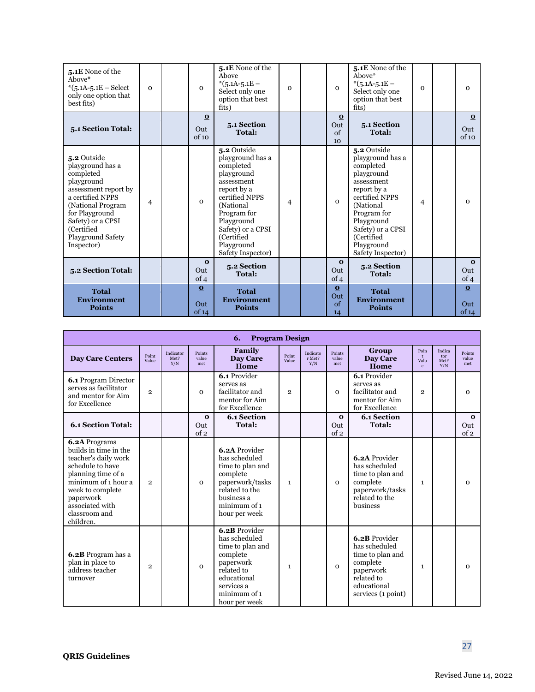| 5.1E None of the<br>Above*<br>$*(5.1A-5.1E - Select$<br>only one option that<br>best fits)                                                                                                                          | $\Omega$ | $\mathbf{0}$                 | 5.1E None of the<br>Above<br>$*(5.1A-5.1E-$<br>Select only one<br>option that best<br>fits)                                                                                                                                | $\mathbf{o}$ | $\mathbf{0}$                      | 5.1E None of the<br>Above*<br>$*(5.1A-5.1E-$<br>Select only one<br>option that best<br>fits)                                                                                                                               | $\Omega$       | $\mathbf 0$                             |
|---------------------------------------------------------------------------------------------------------------------------------------------------------------------------------------------------------------------|----------|------------------------------|----------------------------------------------------------------------------------------------------------------------------------------------------------------------------------------------------------------------------|--------------|-----------------------------------|----------------------------------------------------------------------------------------------------------------------------------------------------------------------------------------------------------------------------|----------------|-----------------------------------------|
| 5.1 Section Total:                                                                                                                                                                                                  |          | $\mathbf{o}$<br>Out<br>of 10 | 5.1 Section<br><b>Total:</b>                                                                                                                                                                                               |              | $\Omega$<br>Out<br>$\alpha$<br>10 | 5.1 Section<br><b>Total:</b>                                                                                                                                                                                               |                | $\overline{\mathbf{o}}$<br>Out<br>of 10 |
| 5.2 Outside<br>playground has a<br>completed<br>playground<br>assessment report by<br>a certified NPPS<br>(National Program<br>for Playground<br>Safety) or a CPSI<br>(Certified<br>Playground Safety<br>Inspector) | 4        | $\Omega$                     | 5.2 Outside<br>playground has a<br>completed<br>playground<br>assessment<br>report by a<br>certified NPPS<br>(National)<br>Program for<br>Playground<br>Safety) or a CPSI<br>(Certified<br>Playground<br>Safety Inspector) | 4            | $\Omega$                          | 5.2 Outside<br>playground has a<br>completed<br>playground<br>assessment<br>report by a<br>certified NPPS<br>(National)<br>Program for<br>Playground<br>Safety) or a CPSI<br>(Certified<br>Playground<br>Safety Inspector) | $\overline{4}$ | $\mathbf 0$                             |
| 5.2 Section Total:                                                                                                                                                                                                  |          | $\bf{0}$<br>Out<br>of 4      | 5.2 Section<br><b>Total:</b>                                                                                                                                                                                               |              | $\bf{0}$<br>Out<br>of 4           | 5.2 Section<br><b>Total:</b>                                                                                                                                                                                               |                | $\bf{0}$<br>Out<br>of 4                 |
| <b>Total</b><br><b>Environment</b><br><b>Points</b>                                                                                                                                                                 |          | $\Omega$<br>Out<br>of 14     | <b>Total</b><br><b>Environment</b><br><b>Points</b>                                                                                                                                                                        |              | $\Omega$<br>Out<br>of<br>14       | <b>Total</b><br><b>Environment</b><br><b>Points</b>                                                                                                                                                                        |                | $\Omega$<br>Out<br>of 14                |

|                                                                                                                                                                                                                   |                |                          |                        | <b>Program Design</b><br>6.                                                                                                                             |                |                           |                         |                                                                                                                                |                                              |                              |                         |
|-------------------------------------------------------------------------------------------------------------------------------------------------------------------------------------------------------------------|----------------|--------------------------|------------------------|---------------------------------------------------------------------------------------------------------------------------------------------------------|----------------|---------------------------|-------------------------|--------------------------------------------------------------------------------------------------------------------------------|----------------------------------------------|------------------------------|-------------------------|
| <b>Day Care Centers</b>                                                                                                                                                                                           | Point<br>Value | Indicator<br>Met?<br>Y/N | Points<br>value<br>met | Family<br>Day Care<br>Home                                                                                                                              | Point<br>Value | Indicato<br>r Met?<br>Y/N | Points<br>value<br>met  | Group<br><b>Day Care</b><br>Home                                                                                               | Poin<br>$\mathbf{t}$<br>Valu<br>$\mathbf{e}$ | Indica<br>tor<br>Met?<br>Y/N | Points<br>value<br>met  |
| <b>6.1 Program Director</b><br>serves as facilitator<br>and mentor for Aim<br>for Excellence                                                                                                                      | $\overline{2}$ |                          | $\Omega$               | $6.1$ Provider<br>serves as<br>facilitator and<br>mentor for Aim<br>for Excellence                                                                      | $\overline{2}$ |                           | $\Omega$                | $6.1$ Provider<br>serves as<br>facilitator and<br>mentor for Aim<br>for Excellence                                             | $\overline{2}$                               |                              | $\Omega$                |
| <b>6.1 Section Total:</b>                                                                                                                                                                                         |                |                          | $\bf o$<br>Out<br>of 2 | <b>6.1 Section</b><br><b>Total:</b>                                                                                                                     |                |                           | $\bf{0}$<br>Out<br>of 2 | <b>6.1 Section</b><br><b>Total:</b>                                                                                            |                                              |                              | $\Omega$<br>Out<br>of 2 |
| 6.2A Programs<br>builds in time in the<br>teacher's daily work<br>schedule to have<br>planning time of a<br>minimum of 1 hour a<br>week to complete<br>paperwork<br>associated with<br>classroom and<br>children. | $\mathfrak{p}$ |                          | $\mathbf{O}$           | 6.2A Provider<br>has scheduled<br>time to plan and<br>complete<br>paperwork/tasks<br>related to the<br>business a<br>minimum of 1<br>hour per week      | $\mathbf{1}$   |                           | $\mathbf{O}$            | 6.2A Provider<br>has scheduled<br>time to plan and<br>complete<br>paperwork/tasks<br>related to the<br>business                | 1                                            |                              | $\Omega$                |
| <b>6.2B</b> Program has a<br>plan in place to<br>address teacher<br>turnover                                                                                                                                      | $\overline{2}$ |                          | $\mathbf{O}$           | 6.2B Provider<br>has scheduled<br>time to plan and<br>complete<br>paperwork<br>related to<br>educational<br>services a<br>minimum of 1<br>hour per week | $\mathbf{1}$   |                           | $\mathbf{O}$            | 6.2B Provider<br>has scheduled<br>time to plan and<br>complete<br>paperwork<br>related to<br>educational<br>services (1 point) | 1                                            |                              | $\Omega$                |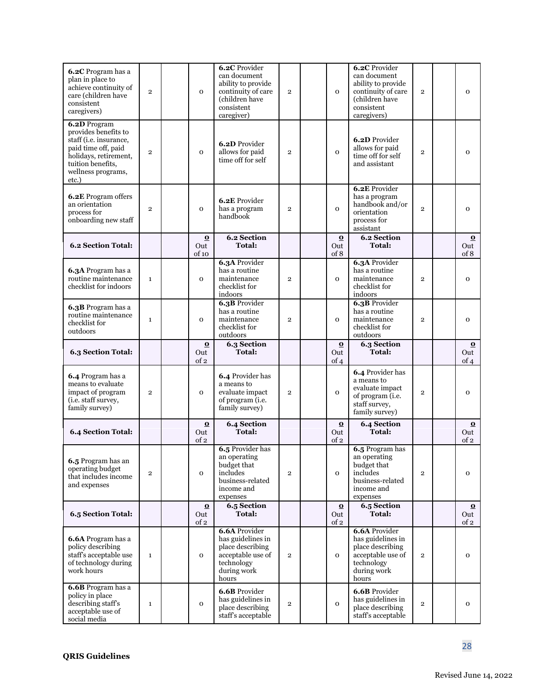| 6.2C Program has a<br>plan in place to<br>achieve continuity of<br>care (children have<br>consistent<br>caregivers)                                                | $\overline{2}$ | $\mathbf 0$                            | <b>6.2C</b> Provider<br>can document<br>ability to provide<br>continuity of care<br>(children have<br>consistent<br>caregiver) | $\mathbf{2}$   | $\mathbf 0$             | <b>6.2C</b> Provider<br>can document<br>ability to provide<br>continuity of care<br>(children have<br>consistent<br>caregivers) | $\mathbf{2}$   | $\mathbf{o}$                           |
|--------------------------------------------------------------------------------------------------------------------------------------------------------------------|----------------|----------------------------------------|--------------------------------------------------------------------------------------------------------------------------------|----------------|-------------------------|---------------------------------------------------------------------------------------------------------------------------------|----------------|----------------------------------------|
| 6.2D Program<br>provides benefits to<br>staff (i.e. insurance,<br>paid time off, paid<br>holidays, retirement,<br>tuition benefits,<br>wellness programs,<br>etc.) | $\overline{2}$ | $\mathbf{o}$                           | 6.2D Provider<br>allows for paid<br>time off for self                                                                          | $\overline{2}$ | $\mathbf{O}$            | 6.2D Provider<br>allows for paid<br>time off for self<br>and assistant                                                          | $\mathbf{2}$   | $\mathbf{o}$                           |
| <b>6.2E</b> Program offers<br>an orientation<br>process for<br>onboarding new staff                                                                                | $\overline{2}$ | $\mathbf{o}$                           | <b>6.2E</b> Provider<br>has a program<br>handbook                                                                              | $\overline{2}$ | $\mathbf 0$             | <b>6.2E</b> Provider<br>has a program<br>handbook and/or<br>orientation<br>process for<br>assistant                             | $\overline{2}$ | $\mathbf{o}$                           |
| <b>6.2 Section Total:</b>                                                                                                                                          |                | $\bf{O}$<br>Out<br>of 10               | 6.2 Section<br>Total:                                                                                                          |                | $\Omega$<br>Out<br>of 8 | <b>6.2 Section</b><br><b>Total:</b>                                                                                             |                | $\mathbf{O}$<br>Out<br>of 8            |
| 6.3A Program has a<br>routine maintenance<br>checklist for indoors                                                                                                 | $\mathbf{1}$   | $\mathbf{o}$                           | <b>6.3A Provider</b><br>has a routine<br>maintenance<br>checklist for<br>indoors                                               | $\overline{2}$ | $\mathbf{O}$            | <b>6.3A Provider</b><br>has a routine<br>maintenance<br>checklist for<br>indoors                                                | $\overline{2}$ | $\mathbf{o}$                           |
| 6.3B Program has a<br>routine maintenance<br>checklist for<br>outdoors                                                                                             | $\mathbf{1}$   | $\mathbf{o}$                           | <b>6.3B</b> Provider<br>has a routine<br>maintenance<br>checklist for<br>outdoors                                              | $\overline{2}$ | $\mathbf{O}$            | <b>6.3B</b> Provider<br>has a routine<br>maintenance<br>checklist for<br>outdoors                                               | $\overline{2}$ | $\mathbf{o}$                           |
| 6.3 Section Total:                                                                                                                                                 |                | $\Omega$<br>Out<br>of 2                | <b>6.3 Section</b><br>Total:                                                                                                   |                | $\Omega$<br>Out<br>of 4 | 6.3 Section<br><b>Total:</b>                                                                                                    |                | $\Omega$<br>Out<br>of 4                |
| 6.4 Program has a<br>means to evaluate<br>impact of program<br>(i.e. staff survey,<br>family survey)                                                               | $\overline{2}$ | $\mathbf{o}$                           | 6.4 Provider has<br>a means to<br>evaluate impact<br>of program (i.e.<br>family survey)                                        | $\overline{2}$ | $\mathbf 0$             | 6.4 Provider has<br>a means to<br>evaluate impact<br>of program (i.e.<br>staff survey,<br>family survey)                        | $\overline{2}$ | $\mathbf{O}$                           |
| <b>6.4 Section Total:</b>                                                                                                                                          |                | $\bf{0}$<br>Out<br>of 2                | 6.4 Section<br>Total:                                                                                                          |                | $\Omega$<br>Out<br>of 2 | 6.4 Section<br>Total:                                                                                                           |                | $\bf{0}$<br>Out<br>of 2                |
| 6.5 Program has an<br>operating budget<br>that includes income<br>and expenses                                                                                     | $\overline{2}$ | $\mathbf{o}$                           | 6.5 Provider has<br>an operating<br>budget that<br>includes<br>business-related<br>income and<br>expenses                      | $\mathbf{2}$   | $\mathbf 0$             | 6.5 Program has<br>an operating<br>budget that<br>includes<br>business-related<br>income and<br>expenses                        | $\mathbf{2}$   | $\mathbf 0$                            |
| 6.5 Section Total:                                                                                                                                                 |                | $\overline{\mathbf{o}}$<br>Out<br>of 2 | 6.5 Section<br><b>Total:</b>                                                                                                   |                | $\Omega$<br>Out<br>of 2 | 6.5 Section<br>Total:                                                                                                           |                | $\overline{\mathbf{0}}$<br>Out<br>of 2 |
| 6.6A Program has a<br>policy describing<br>staff's acceptable use<br>of technology during<br>work hours                                                            | $\mathbf{1}$   | $\mathbf 0$                            | <b>6.6A Provider</b><br>has guidelines in<br>place describing<br>acceptable use of<br>technology<br>during work<br>hours       | $\overline{2}$ | $\mathbf 0$             | <b>6.6A Provider</b><br>has guidelines in<br>place describing<br>acceptable use of<br>technology<br>during work<br>hours        | $\overline{2}$ | $\mathbf 0$                            |
| 6.6B Program has a<br>policy in place<br>describing staff's<br>acceptable use of<br>social media                                                                   | $\mathbf{1}$   | $\mathbf{o}$                           | <b>6.6B</b> Provider<br>has guidelines in<br>place describing<br>staff's acceptable                                            | $\mathbf 2$    | $\mathbf 0$             | <b>6.6B</b> Provider<br>has guidelines in<br>place describing<br>staff's acceptable                                             | $\mathbf{2}$   | $\mathbf 0$                            |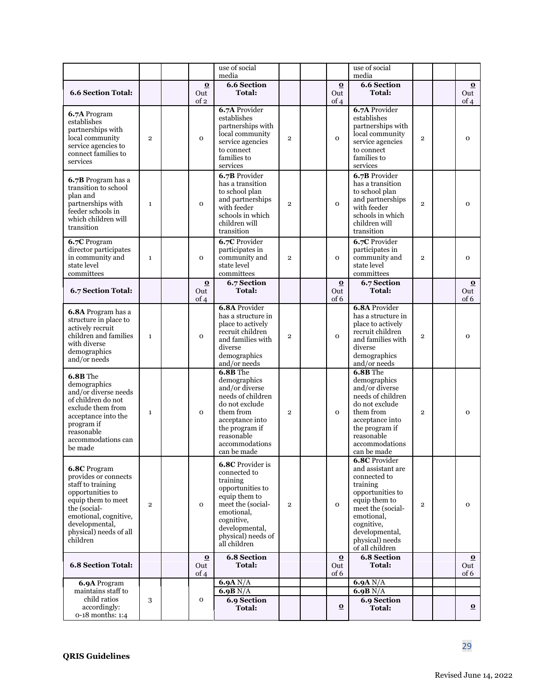|                                                                                                                                                                                                      |                |                         | use of social<br>media                                                                                                                                                                     |                |                         | use of social<br>media                                                                                                                                                                                              |                |                                        |
|------------------------------------------------------------------------------------------------------------------------------------------------------------------------------------------------------|----------------|-------------------------|--------------------------------------------------------------------------------------------------------------------------------------------------------------------------------------------|----------------|-------------------------|---------------------------------------------------------------------------------------------------------------------------------------------------------------------------------------------------------------------|----------------|----------------------------------------|
|                                                                                                                                                                                                      |                | $\Omega$                | <b>6.6 Section</b>                                                                                                                                                                         |                | $\overline{\mathbf{o}}$ | <b>6.6 Section</b>                                                                                                                                                                                                  |                | $\Omega$                               |
| <b>6.6 Section Total:</b>                                                                                                                                                                            |                | Out<br>of 2             | <b>Total:</b>                                                                                                                                                                              |                | Out<br>of 4             | <b>Total:</b>                                                                                                                                                                                                       |                | Out<br>of 4                            |
| 6.7A Program<br>establishes<br>partnerships with<br>local community<br>service agencies to<br>connect families to<br>services                                                                        | $\overline{2}$ | $\mathbf 0$             | 6.7A Provider<br>establishes<br>partnerships with<br>local community<br>service agencies<br>to connect<br>families to<br>services                                                          | $\overline{2}$ | $\mathbf 0$             | 6.7A Provider<br>establishes<br>partnerships with<br>local community<br>service agencies<br>to connect<br>families to<br>services                                                                                   | $\overline{2}$ | $\mathbf{o}$                           |
| 6.7B Program has a<br>transition to school<br>plan and<br>partnerships with<br>feeder schools in<br>which children will<br>transition                                                                | $\mathbf{1}$   | $\mathbf{o}$            | 6.7B Provider<br>has a transition<br>to school plan<br>and partnerships<br>with feeder<br>schools in which<br>children will<br>transition                                                  | $\overline{2}$ | $\mathbf{o}$            | 6.7B Provider<br>has a transition<br>to school plan<br>and partnerships<br>with feeder<br>schools in which<br>children will<br>transition                                                                           | $\overline{2}$ | $\mathbf{o}$                           |
| 6.7C Program<br>director participates<br>in community and<br>state level<br>committees                                                                                                               | $\mathbf{1}$   | $\mathbf{O}$            | 6.7C Provider<br>participates in<br>community and<br>state level<br>committees                                                                                                             | $\overline{2}$ | $\mathbf 0$             | 6.7C Provider<br>participates in<br>community and<br>state level<br>committees                                                                                                                                      | $\overline{2}$ | $\overline{O}$                         |
| 6.7 Section Total:                                                                                                                                                                                   |                | $\bf{O}$<br>Out<br>of 4 | 6.7 Section<br><b>Total:</b>                                                                                                                                                               |                | $\bf{O}$<br>Out<br>of 6 | 6.7 Section<br><b>Total:</b>                                                                                                                                                                                        |                | $\overline{\mathbf{o}}$<br>Out<br>of 6 |
| 6.8A Program has a<br>structure in place to<br>actively recruit<br>children and families<br>with diverse<br>demographics<br>and/or needs                                                             | $\mathbf{1}$   | $\mathbf{o}$            | <b>6.8A Provider</b><br>has a structure in<br>place to actively<br>recruit children<br>and families with<br>diverse<br>demographics<br>and/or needs                                        | $\mathbf{2}$   | $\mathbf{o}$            | <b>6.8A Provider</b><br>has a structure in<br>place to actively<br>recruit children<br>and families with<br>diverse<br>demographics<br>and/or needs                                                                 | $\overline{2}$ | $\mathbf{o}$                           |
| 6.8B The<br>demographics<br>and/or diverse needs<br>of children do not<br>exclude them from<br>acceptance into the<br>program if<br>reasonable<br>accommodations can<br>be made                      | $\mathbf{1}$   | $\mathbf 0$             | $6.8B$ The<br>demographics<br>and/or diverse<br>needs of children<br>do not exclude<br>them from<br>acceptance into<br>the program if<br>reasonable<br>accommodations<br>can be made       | $\overline{2}$ | $\mathbf{o}$            | 6.8B The<br>demographics<br>and/or diverse<br>needs of children<br>do not exclude<br>them from<br>acceptance into<br>the program if<br>reasonable<br>accommodations<br>can be made                                  | $\overline{2}$ | $\overline{O}$                         |
| 6.8C Program<br>provides or connects<br>staff to training<br>opportunities to<br>equip them to meet<br>the (social-<br>emotional, cognitive,<br>developmental,<br>physical) needs of all<br>children | $\overline{2}$ | $\mathbf 0$             | 6.8C Provider is<br>connected to<br>training<br>opportunities to<br>equip them to<br>meet the (social-<br>emotional,<br>cognitive,<br>developmental,<br>physical) needs of<br>all children | $\mathbf{2}$   | $\mathbf{o}$            | <b>6.8C</b> Provider<br>and assistant are<br>connected to<br>training<br>opportunities to<br>equip them to<br>meet the (social-<br>emotional,<br>cognitive,<br>developmental,<br>physical) needs<br>of all children | $\mathbf{2}$   | $\mathbf 0$                            |
| <b>6.8 Section Total:</b>                                                                                                                                                                            |                | $\bf{O}$<br>Out<br>of 4 | <b>6.8 Section</b><br>Total:                                                                                                                                                               |                | $\Omega$<br>Out<br>of 6 | <b>6.8 Section</b><br><b>Total:</b>                                                                                                                                                                                 |                | $\bf{Q}$<br>Out<br>of 6                |
| 6.9A Program<br>maintains staff to<br>child ratios<br>accordingly:<br>0-18 months: 1:4                                                                                                               | 3              | $\mathbf 0$             | 6.9A N/A<br>6.9B N/A<br><b>6.9 Section</b><br><b>Total:</b>                                                                                                                                |                | $\Omega$                | 6.9A N/A<br>6.9B N/A<br><b>6.9 Section</b><br><b>Total:</b>                                                                                                                                                         |                | $\Omega$                               |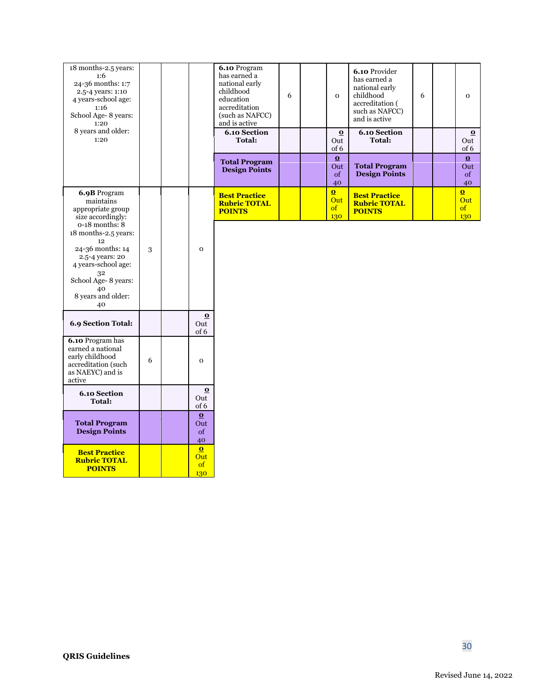| 18 months-2.5 years:<br>1:6<br>24-36 months: 1:7<br>2.5-4 years: 1:10<br>4 years-school age:<br>1:16<br>School Age- 8 years:<br>1:20                                           |   |                                        | 6.10 Program<br>has earned a<br>national early<br>childhood<br>education<br>accreditation<br>(such as NAFCC)<br>and is active | 6 | $\mathbf{o}$                                        | 6.10 Provider<br>has earned a<br>national early<br>childhood<br>accreditation (<br>such as NAFCC)<br>and is active | 6 | $\mathbf{o}$                 |
|--------------------------------------------------------------------------------------------------------------------------------------------------------------------------------|---|----------------------------------------|-------------------------------------------------------------------------------------------------------------------------------|---|-----------------------------------------------------|--------------------------------------------------------------------------------------------------------------------|---|------------------------------|
| 8 years and older:<br>1:20                                                                                                                                                     |   |                                        | <b>6.10 Section</b><br><b>Total:</b>                                                                                          |   | $\bf{O}$<br>Out<br>of 6                             | <b>6.10 Section</b><br>Total:                                                                                      |   | $\Omega$<br>Out<br>of 6      |
|                                                                                                                                                                                |   |                                        | <b>Total Program</b><br><b>Design Points</b>                                                                                  |   | $\Omega$<br>Out<br>of<br>40                         | <b>Total Program</b><br><b>Design Points</b>                                                                       |   | $\Omega$<br>Out<br>of<br>40  |
| 6.9B Program<br>maintains<br>appropriate group<br>size accordingly:                                                                                                            |   |                                        | <b>Best Practice</b><br><b>Rubric TOTAL</b><br><b>POINTS</b>                                                                  |   | $\overline{\mathbf{0}}$<br>Out<br>$\sigma f$<br>130 | <b>Best Practice</b><br><b>Rubric TOTAL</b><br><b>POINTS</b>                                                       |   | $\Omega$<br>Out<br>of<br>130 |
| $0-18$ months: $8$<br>18 months-2.5 years:<br>12<br>24-36 months: 14<br>2.5-4 years: 20<br>4 years-school age:<br>32<br>School Age- 8 years:<br>40<br>8 years and older:<br>40 | 3 | $\mathbf{o}$                           |                                                                                                                               |   |                                                     |                                                                                                                    |   |                              |
| 6.9 Section Total:                                                                                                                                                             |   | $\overline{\mathbf{o}}$<br>Out<br>of 6 |                                                                                                                               |   |                                                     |                                                                                                                    |   |                              |
| 6.10 Program has<br>earned a national<br>early childhood<br>accreditation (such<br>as NAEYC) and is<br>active                                                                  | 6 | $\mathbf{o}$                           |                                                                                                                               |   |                                                     |                                                                                                                    |   |                              |
| <b>6.10 Section</b><br><b>Total:</b>                                                                                                                                           |   | $\bf{O}$<br>Out<br>of 6                |                                                                                                                               |   |                                                     |                                                                                                                    |   |                              |
| <b>Total Program</b><br><b>Design Points</b>                                                                                                                                   |   | $\Omega$<br>Out<br>of<br>40            |                                                                                                                               |   |                                                     |                                                                                                                    |   |                              |
| <b>Best Practice</b><br><b>Rubric TOTAL</b><br><b>POINTS</b>                                                                                                                   |   | $\Omega$<br>Out<br>of<br>130           |                                                                                                                               |   |                                                     |                                                                                                                    |   |                              |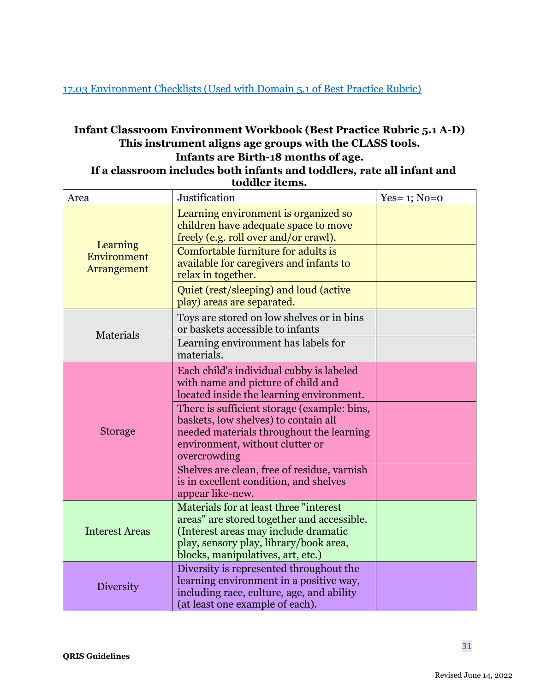<span id="page-30-0"></span>[17.03 Environment Checklists \(Used with Domain 5.1 of Best Practice Rubric\)](#page-25-0)

## **Infant Classroom Environment Workbook (Best Practice Rubric 5.1 A-D) This instrument aligns age groups with the CLASS tools. Infants are Birth-18 months of age.**

 **If a classroom includes both infants and toddlers, rate all infant and toddler items.**

| Area                                   | Justification                                                                                                                                                                                               | Yes= $1$ ; No= $0$ |
|----------------------------------------|-------------------------------------------------------------------------------------------------------------------------------------------------------------------------------------------------------------|--------------------|
| Learning<br>Environment<br>Arrangement | Learning environment is organized so<br>children have adequate space to move<br>freely (e.g. roll over and/or crawl).                                                                                       |                    |
|                                        | Comfortable furniture for adults is<br>available for caregivers and infants to<br>relax in together.                                                                                                        |                    |
|                                        | Quiet (rest/sleeping) and loud (active<br>play) areas are separated.                                                                                                                                        |                    |
| Materials                              | Toys are stored on low shelves or in bins<br>or baskets accessible to infants                                                                                                                               |                    |
|                                        | Learning environment has labels for<br>materials.                                                                                                                                                           |                    |
| <b>Storage</b>                         | Each child's individual cubby is labeled<br>with name and picture of child and<br>located inside the learning environment.                                                                                  |                    |
|                                        | There is sufficient storage (example: bins,<br>baskets, low shelves) to contain all<br>needed materials throughout the learning<br>environment, without clutter or<br>overcrowding                          |                    |
|                                        | Shelves are clean, free of residue, varnish<br>is in excellent condition, and shelves<br>appear like-new.                                                                                                   |                    |
| <b>Interest Areas</b>                  | Materials for at least three "interest<br>areas" are stored together and accessible.<br>(Interest areas may include dramatic<br>play, sensory play, library/book area,<br>blocks, manipulatives, art, etc.) |                    |
| Diversity                              | Diversity is represented throughout the<br>learning environment in a positive way,<br>including race, culture, age, and ability<br>(at least one example of each).                                          |                    |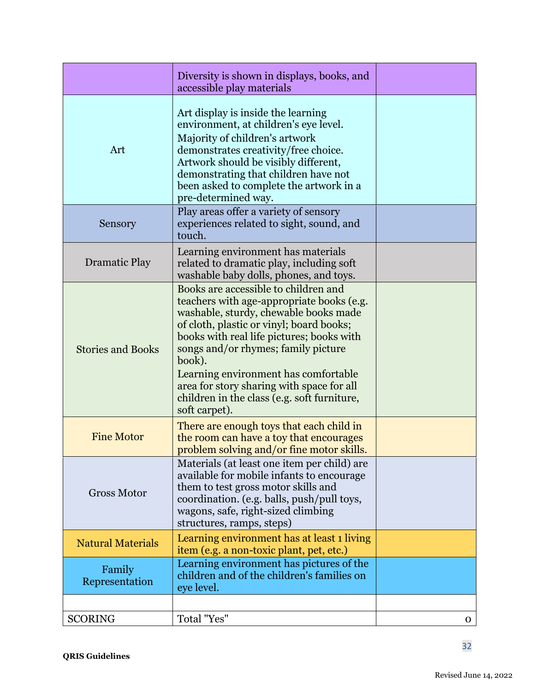|                          | Diversity is shown in displays, books, and<br>accessible play materials                                                                                                                                                                                                                                                                                   |   |
|--------------------------|-----------------------------------------------------------------------------------------------------------------------------------------------------------------------------------------------------------------------------------------------------------------------------------------------------------------------------------------------------------|---|
| Art                      | Art display is inside the learning<br>environment, at children's eye level.<br>Majority of children's artwork<br>demonstrates creativity/free choice.<br>Artwork should be visibly different,<br>demonstrating that children have not<br>been asked to complete the artwork in a<br>pre-determined way.                                                   |   |
| Sensory                  | Play areas offer a variety of sensory<br>experiences related to sight, sound, and<br>touch.                                                                                                                                                                                                                                                               |   |
| <b>Dramatic Play</b>     | Learning environment has materials<br>related to dramatic play, including soft<br>washable baby dolls, phones, and toys.                                                                                                                                                                                                                                  |   |
| <b>Stories and Books</b> | Books are accessible to children and<br>teachers with age-appropriate books (e.g.<br>washable, sturdy, chewable books made<br>of cloth, plastic or vinyl; board books;<br>books with real life pictures; books with<br>songs and/or rhymes; family picture<br>book).<br>Learning environment has comfortable<br>area for story sharing with space for all |   |
|                          | children in the class (e.g. soft furniture,<br>soft carpet).                                                                                                                                                                                                                                                                                              |   |
| <b>Fine Motor</b>        | There are enough toys that each child in<br>the room can have a toy that encourages<br>problem solving and/or fine motor skills.                                                                                                                                                                                                                          |   |
| <b>Gross Motor</b>       | Materials (at least one item per child) are<br>available for mobile infants to encourage<br>them to test gross motor skills and<br>coordination. (e.g. balls, push/pull toys,<br>wagons, safe, right-sized climbing<br>structures, ramps, steps)                                                                                                          |   |
| <b>Natural Materials</b> | Learning environment has at least 1 living<br>item (e.g. a non-toxic plant, pet, etc.)                                                                                                                                                                                                                                                                    |   |
| Family<br>Representation | Learning environment has pictures of the<br>children and of the children's families on<br>eye level.                                                                                                                                                                                                                                                      |   |
| <b>SCORING</b>           | Total "Yes"                                                                                                                                                                                                                                                                                                                                               | 0 |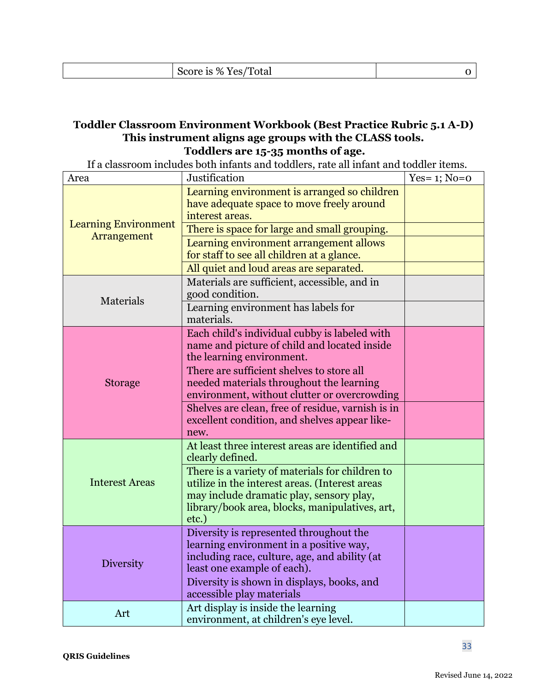| $\sqrt{m}$<br>$\Omega$<br>.<br>.<br>$\mathbf{1}$<br>$V_{\text{PSL}}$<br>$\%$<br>olai<br>15<br>. |  |
|-------------------------------------------------------------------------------------------------|--|
|                                                                                                 |  |

## **Toddler Classroom Environment Workbook (Best Practice Rubric 5.1 A-D) This instrument aligns age groups with the CLASS tools. Toddlers are 15-35 months of age.**

If a classroom includes both infants and toddlers, rate all infant and toddler items.

| Area                        | Justification                                                                                                                                                                                            | Yes= $1$ ; No= $0$ |
|-----------------------------|----------------------------------------------------------------------------------------------------------------------------------------------------------------------------------------------------------|--------------------|
|                             | Learning environment is arranged so children<br>have adequate space to move freely around<br>interest areas.                                                                                             |                    |
| <b>Learning Environment</b> | There is space for large and small grouping.                                                                                                                                                             |                    |
| Arrangement                 | Learning environment arrangement allows<br>for staff to see all children at a glance.                                                                                                                    |                    |
|                             | All quiet and loud areas are separated.                                                                                                                                                                  |                    |
| Materials                   | Materials are sufficient, accessible, and in<br>good condition.                                                                                                                                          |                    |
|                             | Learning environment has labels for<br>materials.                                                                                                                                                        |                    |
|                             | Each child's individual cubby is labeled with<br>name and picture of child and located inside<br>the learning environment.                                                                               |                    |
| <b>Storage</b>              | There are sufficient shelves to store all<br>needed materials throughout the learning<br>environment, without clutter or overcrowding                                                                    |                    |
|                             | Shelves are clean, free of residue, varnish is in<br>excellent condition, and shelves appear like-<br>new.                                                                                               |                    |
|                             | At least three interest areas are identified and<br>clearly defined.                                                                                                                                     |                    |
| <b>Interest Areas</b>       | There is a variety of materials for children to<br>utilize in the interest areas. (Interest areas<br>may include dramatic play, sensory play,<br>library/book area, blocks, manipulatives, art,<br>etc.) |                    |
| Diversity                   | Diversity is represented throughout the<br>learning environment in a positive way,<br>including race, culture, age, and ability (at<br>least one example of each).                                       |                    |
|                             | Diversity is shown in displays, books, and<br>accessible play materials                                                                                                                                  |                    |
| Art                         | Art display is inside the learning<br>environment, at children's eye level.                                                                                                                              |                    |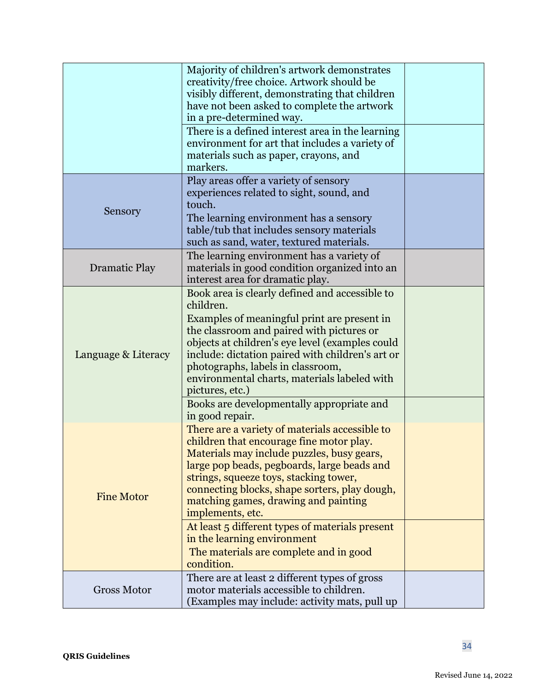|                      | Majority of children's artwork demonstrates<br>creativity/free choice. Artwork should be<br>visibly different, demonstrating that children<br>have not been asked to complete the artwork<br>in a pre-determined way.<br>There is a defined interest area in the learning<br>environment for art that includes a variety of<br>materials such as paper, crayons, and<br>markers. |  |
|----------------------|----------------------------------------------------------------------------------------------------------------------------------------------------------------------------------------------------------------------------------------------------------------------------------------------------------------------------------------------------------------------------------|--|
| Sensory              | Play areas offer a variety of sensory<br>experiences related to sight, sound, and<br>touch.                                                                                                                                                                                                                                                                                      |  |
|                      | The learning environment has a sensory<br>table/tub that includes sensory materials<br>such as sand, water, textured materials.                                                                                                                                                                                                                                                  |  |
| <b>Dramatic Play</b> | The learning environment has a variety of<br>materials in good condition organized into an<br>interest area for dramatic play.                                                                                                                                                                                                                                                   |  |
|                      | Book area is clearly defined and accessible to<br>children.                                                                                                                                                                                                                                                                                                                      |  |
| Language & Literacy  | Examples of meaningful print are present in<br>the classroom and paired with pictures or<br>objects at children's eye level (examples could<br>include: dictation paired with children's art or<br>photographs, labels in classroom,<br>environmental charts, materials labeled with<br>pictures, etc.)                                                                          |  |
|                      | Books are developmentally appropriate and<br>in good repair.                                                                                                                                                                                                                                                                                                                     |  |
| <b>Fine Motor</b>    | There are a variety of materials accessible to<br>children that encourage fine motor play.<br>Materials may include puzzles, busy gears,<br>large pop beads, pegboards, large beads and<br>strings, squeeze toys, stacking tower,<br>connecting blocks, shape sorters, play dough,<br>matching games, drawing and painting<br>implements, etc.                                   |  |
|                      | At least 5 different types of materials present<br>in the learning environment                                                                                                                                                                                                                                                                                                   |  |
|                      | The materials are complete and in good<br>condition.                                                                                                                                                                                                                                                                                                                             |  |
| <b>Gross Motor</b>   | There are at least 2 different types of gross<br>motor materials accessible to children.<br>(Examples may include: activity mats, pull up                                                                                                                                                                                                                                        |  |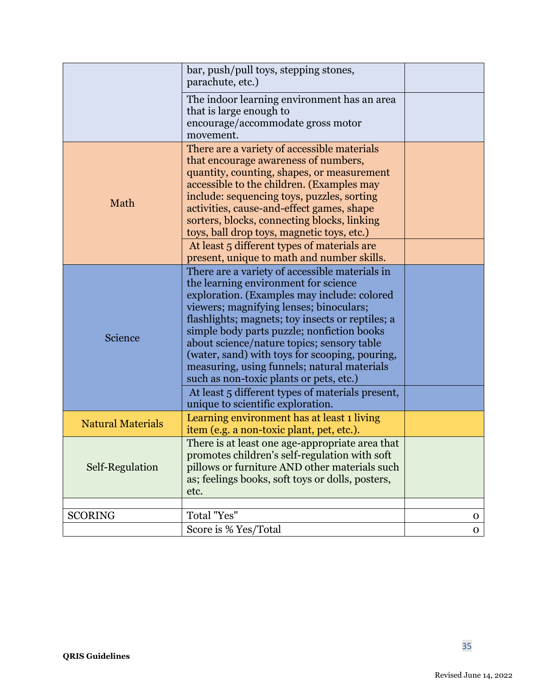|                          | bar, push/pull toys, stepping stones,<br>parachute, etc.)                                                                                                                                                                                                                                                                                                                                                                                                                                                                        |              |
|--------------------------|----------------------------------------------------------------------------------------------------------------------------------------------------------------------------------------------------------------------------------------------------------------------------------------------------------------------------------------------------------------------------------------------------------------------------------------------------------------------------------------------------------------------------------|--------------|
|                          | The indoor learning environment has an area<br>that is large enough to<br>encourage/accommodate gross motor<br>movement.                                                                                                                                                                                                                                                                                                                                                                                                         |              |
| Math                     | There are a variety of accessible materials<br>that encourage awareness of numbers,<br>quantity, counting, shapes, or measurement<br>accessible to the children. (Examples may<br>include: sequencing toys, puzzles, sorting<br>activities, cause-and-effect games, shape<br>sorters, blocks, connecting blocks, linking<br>toys, ball drop toys, magnetic toys, etc.)<br>At least 5 different types of materials are                                                                                                            |              |
|                          | present, unique to math and number skills.                                                                                                                                                                                                                                                                                                                                                                                                                                                                                       |              |
| Science                  | There are a variety of accessible materials in<br>the learning environment for science<br>exploration. (Examples may include: colored<br>viewers; magnifying lenses; binoculars;<br>flashlights; magnets; toy insects or reptiles; a<br>simple body parts puzzle; nonfiction books<br>about science/nature topics; sensory table<br>(water, sand) with toys for scooping, pouring,<br>measuring, using funnels; natural materials<br>such as non-toxic plants or pets, etc.)<br>At least 5 different types of materials present, |              |
| <b>Natural Materials</b> | unique to scientific exploration.<br>Learning environment has at least 1 living<br>item (e.g. a non-toxic plant, pet, etc.).                                                                                                                                                                                                                                                                                                                                                                                                     |              |
| Self-Regulation          | There is at least one age-appropriate area that<br>promotes children's self-regulation with soft<br>pillows or furniture AND other materials such<br>as; feelings books, soft toys or dolls, posters,<br>etc.                                                                                                                                                                                                                                                                                                                    |              |
|                          | Total "Yes"                                                                                                                                                                                                                                                                                                                                                                                                                                                                                                                      |              |
| <b>SCORING</b>           | Score is % Yes/Total                                                                                                                                                                                                                                                                                                                                                                                                                                                                                                             | $\mathbf{O}$ |
|                          |                                                                                                                                                                                                                                                                                                                                                                                                                                                                                                                                  | $\mathbf{O}$ |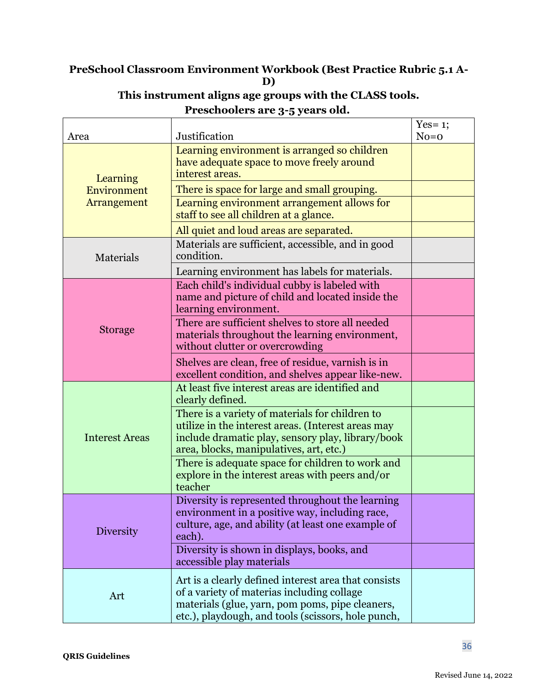# **PreSchool Classroom Environment Workbook (Best Practice Rubric 5.1 A-D)**

|                       |                                                                                                                                                                                                             | Yes= $1$ ; |
|-----------------------|-------------------------------------------------------------------------------------------------------------------------------------------------------------------------------------------------------------|------------|
| Area                  | Justification                                                                                                                                                                                               | $No=0$     |
| Learning              | Learning environment is arranged so children<br>have adequate space to move freely around<br>interest areas.                                                                                                |            |
| Environment           | There is space for large and small grouping.                                                                                                                                                                |            |
| Arrangement           | Learning environment arrangement allows for<br>staff to see all children at a glance.                                                                                                                       |            |
|                       | All quiet and loud areas are separated.                                                                                                                                                                     |            |
| Materials             | Materials are sufficient, accessible, and in good<br>condition.                                                                                                                                             |            |
|                       | Learning environment has labels for materials.                                                                                                                                                              |            |
| <b>Storage</b>        | Each child's individual cubby is labeled with<br>name and picture of child and located inside the<br>learning environment.                                                                                  |            |
|                       | There are sufficient shelves to store all needed<br>materials throughout the learning environment,<br>without clutter or overcrowding                                                                       |            |
|                       | Shelves are clean, free of residue, varnish is in<br>excellent condition, and shelves appear like-new.                                                                                                      |            |
|                       | At least five interest areas are identified and<br>clearly defined.                                                                                                                                         |            |
| <b>Interest Areas</b> | There is a variety of materials for children to<br>utilize in the interest areas. (Interest areas may<br>include dramatic play, sensory play, library/book<br>area, blocks, manipulatives, art, etc.)       |            |
|                       | There is adequate space for children to work and<br>explore in the interest areas with peers and/or<br>teacher                                                                                              |            |
| Diversity             | Diversity is represented throughout the learning<br>environment in a positive way, including race,<br>culture, age, and ability (at least one example of<br>each).                                          |            |
|                       | Diversity is shown in displays, books, and<br>accessible play materials                                                                                                                                     |            |
| Art                   | Art is a clearly defined interest area that consists<br>of a variety of materias including collage<br>materials (glue, yarn, pom poms, pipe cleaners,<br>etc.), playdough, and tools (scissors, hole punch, |            |

# **This instrument aligns age groups with the CLASS tools. Preschoolers are 3-5 years old.**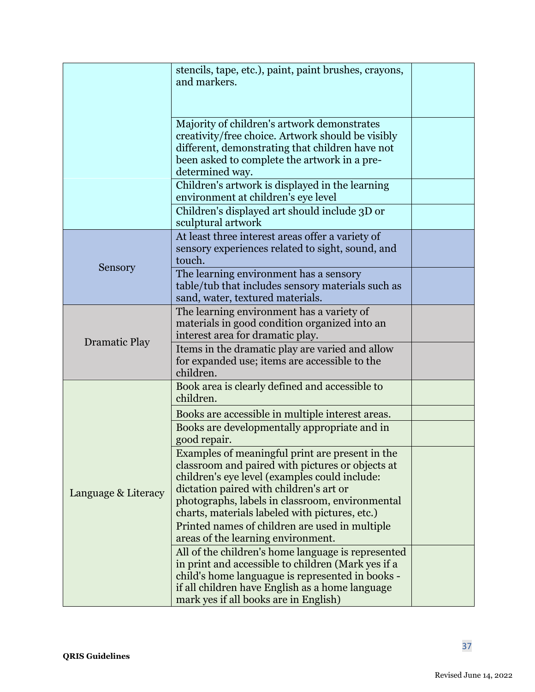|                      | stencils, tape, etc.), paint, paint brushes, crayons,<br>and markers.                                                                                                                                                                                                                                |  |
|----------------------|------------------------------------------------------------------------------------------------------------------------------------------------------------------------------------------------------------------------------------------------------------------------------------------------------|--|
|                      | Majority of children's artwork demonstrates<br>creativity/free choice. Artwork should be visibly<br>different, demonstrating that children have not<br>been asked to complete the artwork in a pre-<br>determined way.                                                                               |  |
|                      | Children's artwork is displayed in the learning<br>environment at children's eye level                                                                                                                                                                                                               |  |
|                      | Children's displayed art should include 3D or<br>sculptural artwork                                                                                                                                                                                                                                  |  |
|                      | At least three interest areas offer a variety of<br>sensory experiences related to sight, sound, and<br>touch.                                                                                                                                                                                       |  |
| Sensory              | The learning environment has a sensory<br>table/tub that includes sensory materials such as<br>sand, water, textured materials.                                                                                                                                                                      |  |
|                      | The learning environment has a variety of<br>materials in good condition organized into an<br>interest area for dramatic play.                                                                                                                                                                       |  |
| <b>Dramatic Play</b> | Items in the dramatic play are varied and allow<br>for expanded use; items are accessible to the<br>children.                                                                                                                                                                                        |  |
|                      | Book area is clearly defined and accessible to<br>children.                                                                                                                                                                                                                                          |  |
|                      | Books are accessible in multiple interest areas.                                                                                                                                                                                                                                                     |  |
|                      | Books are developmentally appropriate and in<br>good repair.                                                                                                                                                                                                                                         |  |
| Language & Literacy  | Examples of meaningful print are present in the<br>classroom and paired with pictures or objects at<br>children's eye level (examples could include:<br>dictation paired with children's art or<br>photographs, labels in classroom, environmental<br>charts, materials labeled with pictures, etc.) |  |
|                      | Printed names of children are used in multiple<br>areas of the learning environment.                                                                                                                                                                                                                 |  |
|                      | All of the children's home language is represented<br>in print and accessible to children (Mark yes if a<br>child's home languague is represented in books -<br>if all children have English as a home language<br>mark yes if all books are in English)                                             |  |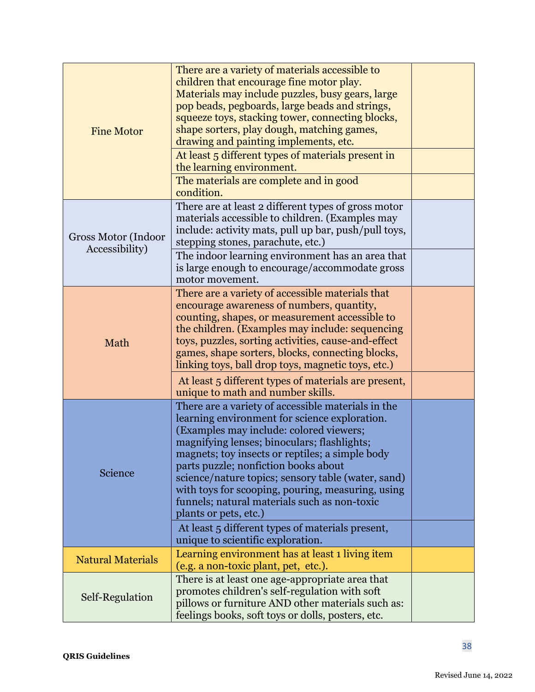| <b>Fine Motor</b>                     | There are a variety of materials accessible to<br>children that encourage fine motor play.<br>Materials may include puzzles, busy gears, large<br>pop beads, pegboards, large beads and strings,<br>squeeze toys, stacking tower, connecting blocks,<br>shape sorters, play dough, matching games,<br>drawing and painting implements, etc.<br>At least 5 different types of materials present in<br>the learning environment.<br>The materials are complete and in good<br>condition. |  |
|---------------------------------------|----------------------------------------------------------------------------------------------------------------------------------------------------------------------------------------------------------------------------------------------------------------------------------------------------------------------------------------------------------------------------------------------------------------------------------------------------------------------------------------|--|
| Gross Motor (Indoor<br>Accessibility) | There are at least 2 different types of gross motor<br>materials accessible to children. (Examples may<br>include: activity mats, pull up bar, push/pull toys,<br>stepping stones, parachute, etc.)<br>The indoor learning environment has an area that<br>is large enough to encourage/accommodate gross<br>motor movement.                                                                                                                                                           |  |
| Math                                  | There are a variety of accessible materials that<br>encourage awareness of numbers, quantity,<br>counting, shapes, or measurement accessible to<br>the children. (Examples may include: sequencing<br>toys, puzzles, sorting activities, cause-and-effect<br>games, shape sorters, blocks, connecting blocks,<br>linking toys, ball drop toys, magnetic toys, etc.)                                                                                                                    |  |
|                                       | At least 5 different types of materials are present,<br>unique to math and number skills.                                                                                                                                                                                                                                                                                                                                                                                              |  |
| Science                               | There are a variety of accessible materials in the<br>learning environment for science exploration.<br>(Examples may include: colored viewers;<br>magnifying lenses; binoculars; flashlights;<br>magnets; toy insects or reptiles; a simple body<br>parts puzzle; nonfiction books about<br>science/nature topics; sensory table (water, sand)<br>with toys for scooping, pouring, measuring, using<br>funnels; natural materials such as non-toxic<br>plants or pets, etc.)           |  |
|                                       | At least 5 different types of materials present,<br>unique to scientific exploration.                                                                                                                                                                                                                                                                                                                                                                                                  |  |
| <b>Natural Materials</b>              | Learning environment has at least 1 living item<br>(e.g. a non-toxic plant, pet, etc.).                                                                                                                                                                                                                                                                                                                                                                                                |  |
| Self-Regulation                       | There is at least one age-appropriate area that<br>promotes children's self-regulation with soft<br>pillows or furniture AND other materials such as:<br>feelings books, soft toys or dolls, posters, etc.                                                                                                                                                                                                                                                                             |  |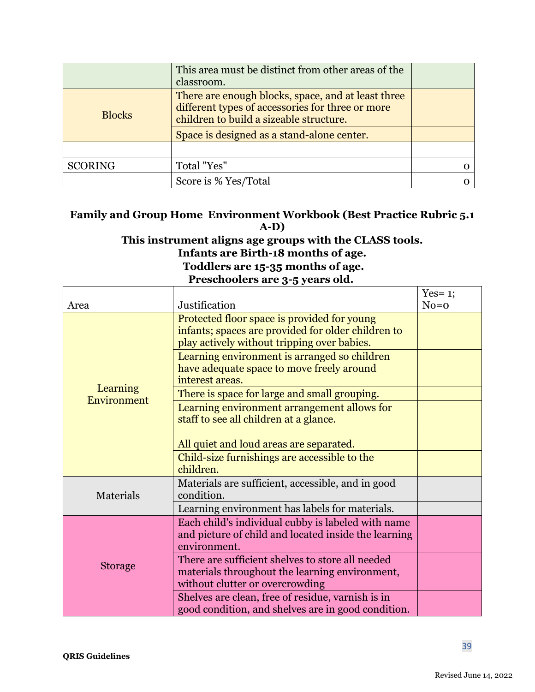|                | This area must be distinct from other areas of the<br>classroom.                                                                                  |  |
|----------------|---------------------------------------------------------------------------------------------------------------------------------------------------|--|
| <b>Blocks</b>  | There are enough blocks, space, and at least three<br>different types of accessories for three or more<br>children to build a sizeable structure. |  |
|                | Space is designed as a stand-alone center.                                                                                                        |  |
|                |                                                                                                                                                   |  |
| <b>SCORING</b> | Total "Yes"                                                                                                                                       |  |
|                | Score is % Yes/Total                                                                                                                              |  |

### **Family and Group Home Environment Workbook (Best Practice Rubric 5.1 A-D)**

### **This instrument aligns age groups with the CLASS tools. Infants are Birth-18 months of age.**

**Toddlers are 15-35 months of age.**

**Preschoolers are 3-5 years old.**

|                         |                                                                                                                                                  | Yes = $1$ ; |
|-------------------------|--------------------------------------------------------------------------------------------------------------------------------------------------|-------------|
| Area                    | Justification                                                                                                                                    | $No=0$      |
| Learning<br>Environment | Protected floor space is provided for young<br>infants; spaces are provided for older children to<br>play actively without tripping over babies. |             |
|                         | Learning environment is arranged so children<br>have adequate space to move freely around<br>interest areas.                                     |             |
|                         | There is space for large and small grouping.                                                                                                     |             |
|                         | Learning environment arrangement allows for<br>staff to see all children at a glance.                                                            |             |
|                         | All quiet and loud areas are separated.                                                                                                          |             |
|                         | Child-size furnishings are accessible to the<br>children.                                                                                        |             |
| Materials               | Materials are sufficient, accessible, and in good<br>condition.                                                                                  |             |
|                         | Learning environment has labels for materials.                                                                                                   |             |
| <b>Storage</b>          | Each child's individual cubby is labeled with name<br>and picture of child and located inside the learning<br>environment.                       |             |
|                         | There are sufficient shelves to store all needed<br>materials throughout the learning environment,<br>without clutter or overcrowding            |             |
|                         | Shelves are clean, free of residue, varnish is in<br>good condition, and shelves are in good condition.                                          |             |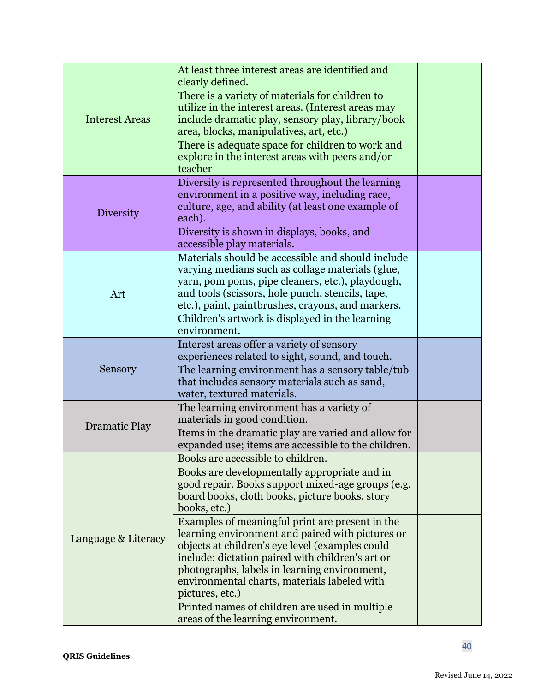| <b>Interest Areas</b> | At least three interest areas are identified and<br>clearly defined.                                                                                                                                                                                                                                                          |  |
|-----------------------|-------------------------------------------------------------------------------------------------------------------------------------------------------------------------------------------------------------------------------------------------------------------------------------------------------------------------------|--|
|                       | There is a variety of materials for children to<br>utilize in the interest areas. (Interest areas may<br>include dramatic play, sensory play, library/book<br>area, blocks, manipulatives, art, etc.)                                                                                                                         |  |
|                       | There is adequate space for children to work and<br>explore in the interest areas with peers and/or<br>teacher                                                                                                                                                                                                                |  |
| <b>Diversity</b>      | Diversity is represented throughout the learning<br>environment in a positive way, including race,<br>culture, age, and ability (at least one example of<br>each).                                                                                                                                                            |  |
|                       | Diversity is shown in displays, books, and<br>accessible play materials.                                                                                                                                                                                                                                                      |  |
| Art                   | Materials should be accessible and should include<br>varying medians such as collage materials (glue,<br>yarn, pom poms, pipe cleaners, etc.), playdough,<br>and tools (scissors, hole punch, stencils, tape,<br>etc.), paint, paintbrushes, crayons, and markers.                                                            |  |
|                       | Children's artwork is displayed in the learning<br>environment.                                                                                                                                                                                                                                                               |  |
| Sensory               | Interest areas offer a variety of sensory<br>experiences related to sight, sound, and touch.                                                                                                                                                                                                                                  |  |
|                       | The learning environment has a sensory table/tub<br>that includes sensory materials such as sand,<br>water, textured materials.                                                                                                                                                                                               |  |
| <b>Dramatic Play</b>  | The learning environment has a variety of<br>materials in good condition.                                                                                                                                                                                                                                                     |  |
|                       | Items in the dramatic play are varied and allow for<br>expanded use; items are accessible to the children.                                                                                                                                                                                                                    |  |
|                       | Books are accessible to children.                                                                                                                                                                                                                                                                                             |  |
| Language & Literacy   | Books are developmentally appropriate and in<br>good repair. Books support mixed-age groups (e.g.<br>board books, cloth books, picture books, story<br>books, etc.)                                                                                                                                                           |  |
|                       | Examples of meaningful print are present in the<br>learning environment and paired with pictures or<br>objects at children's eye level (examples could<br>include: dictation paired with children's art or<br>photographs, labels in learning environment,<br>environmental charts, materials labeled with<br>pictures, etc.) |  |
|                       | Printed names of children are used in multiple<br>areas of the learning environment.                                                                                                                                                                                                                                          |  |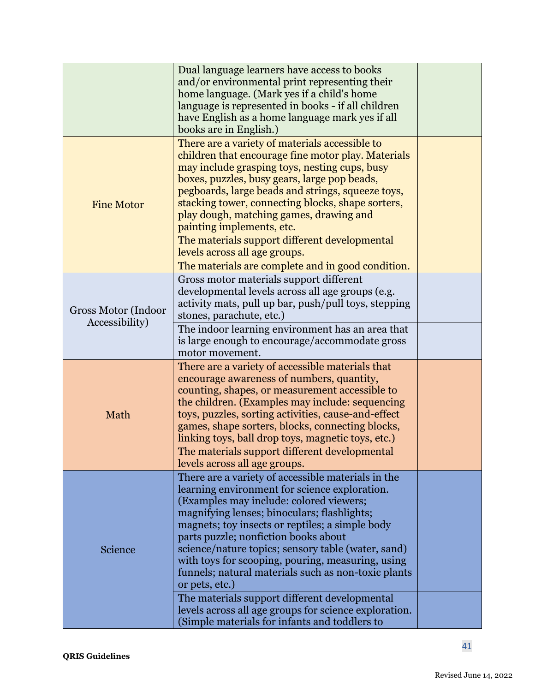|                                       | Dual language learners have access to books<br>and/or environmental print representing their<br>home language. (Mark yes if a child's home<br>language is represented in books - if all children<br>have English as a home language mark yes if all<br>books are in English.)                                                                                                                                                                                                |  |
|---------------------------------------|------------------------------------------------------------------------------------------------------------------------------------------------------------------------------------------------------------------------------------------------------------------------------------------------------------------------------------------------------------------------------------------------------------------------------------------------------------------------------|--|
| <b>Fine Motor</b>                     | There are a variety of materials accessible to<br>children that encourage fine motor play. Materials<br>may include grasping toys, nesting cups, busy<br>boxes, puzzles, busy gears, large pop beads,<br>pegboards, large beads and strings, squeeze toys,<br>stacking tower, connecting blocks, shape sorters,<br>play dough, matching games, drawing and<br>painting implements, etc.                                                                                      |  |
|                                       | The materials support different developmental<br>levels across all age groups.<br>The materials are complete and in good condition.                                                                                                                                                                                                                                                                                                                                          |  |
| Gross Motor (Indoor<br>Accessibility) | Gross motor materials support different<br>developmental levels across all age groups (e.g.<br>activity mats, pull up bar, push/pull toys, stepping<br>stones, parachute, etc.)                                                                                                                                                                                                                                                                                              |  |
|                                       | The indoor learning environment has an area that<br>is large enough to encourage/accommodate gross<br>motor movement.                                                                                                                                                                                                                                                                                                                                                        |  |
| Math                                  | There are a variety of accessible materials that<br>encourage awareness of numbers, quantity,<br>counting, shapes, or measurement accessible to<br>the children. (Examples may include: sequencing<br>toys, puzzles, sorting activities, cause-and-effect<br>games, shape sorters, blocks, connecting blocks,<br>linking toys, ball drop toys, magnetic toys, etc.)                                                                                                          |  |
|                                       | The materials support different developmental<br>levels across all age groups.                                                                                                                                                                                                                                                                                                                                                                                               |  |
| Science                               | There are a variety of accessible materials in the<br>learning environment for science exploration.<br>(Examples may include: colored viewers;<br>magnifying lenses; binoculars; flashlights;<br>magnets; toy insects or reptiles; a simple body<br>parts puzzle; nonfiction books about<br>science/nature topics; sensory table (water, sand)<br>with toys for scooping, pouring, measuring, using<br>funnels; natural materials such as non-toxic plants<br>or pets, etc.) |  |
|                                       | The materials support different developmental<br>levels across all age groups for science exploration.<br>(Simple materials for infants and toddlers to                                                                                                                                                                                                                                                                                                                      |  |